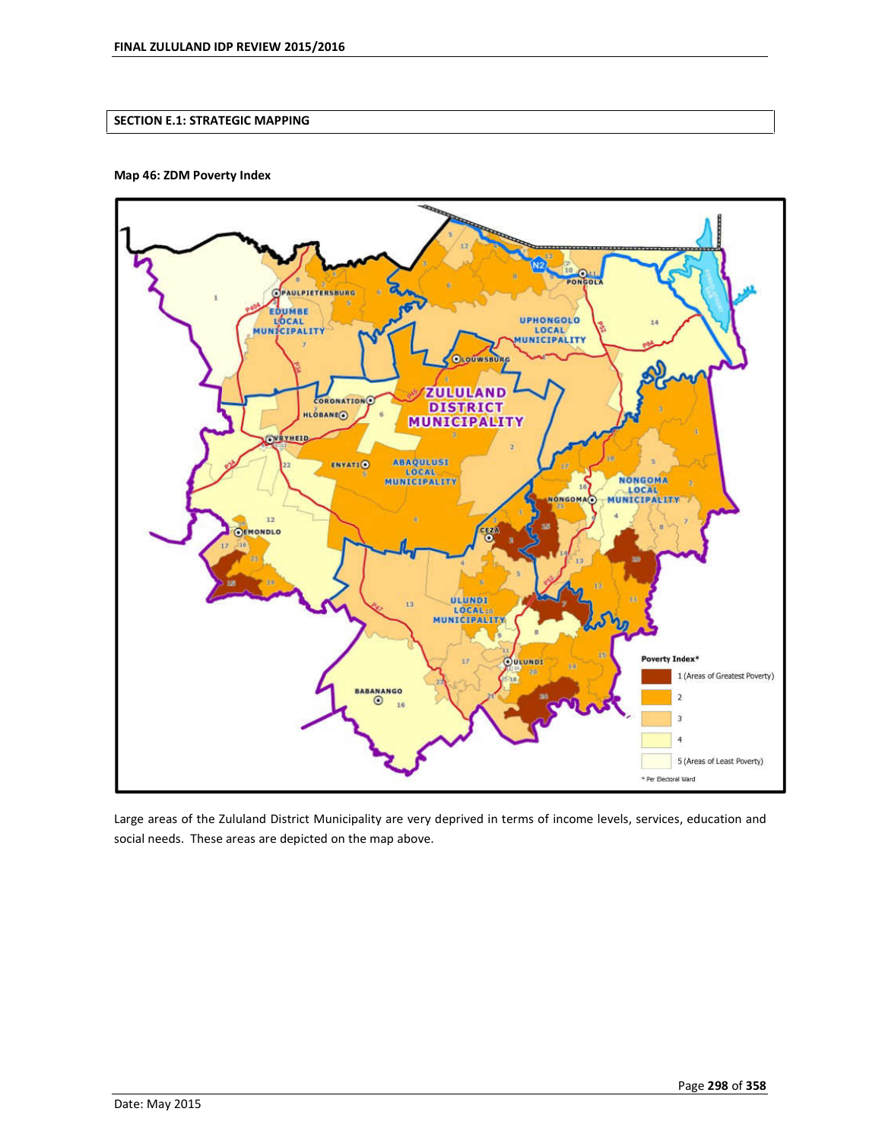## **SECTION E.1: STRATEGIC MAPPING**

### **Map 46: ZDM Poverty Index**



Large areas of the Zululand District Municipality are very deprived in terms of income levels, services, education and social needs. These areas are depicted on the map above.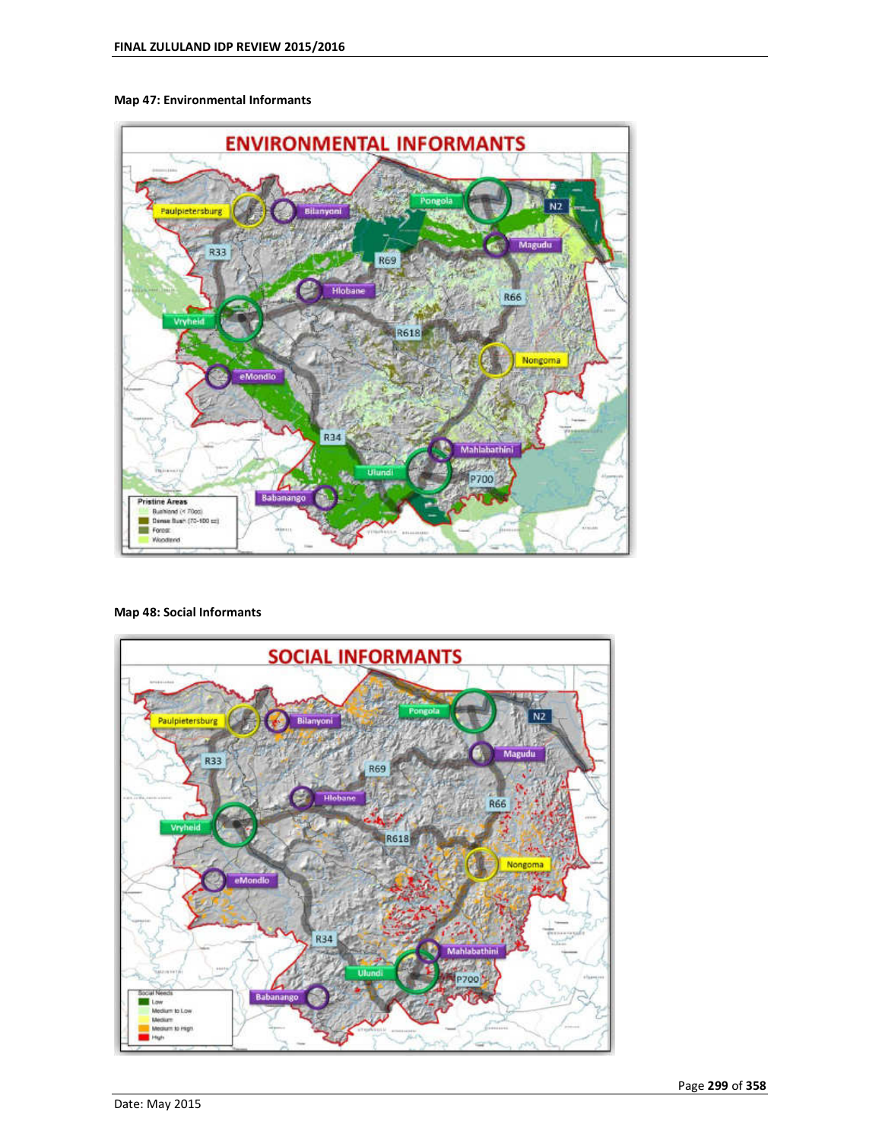### **Map 47: Environmental Informants**



### **Map 48: Social Informants**

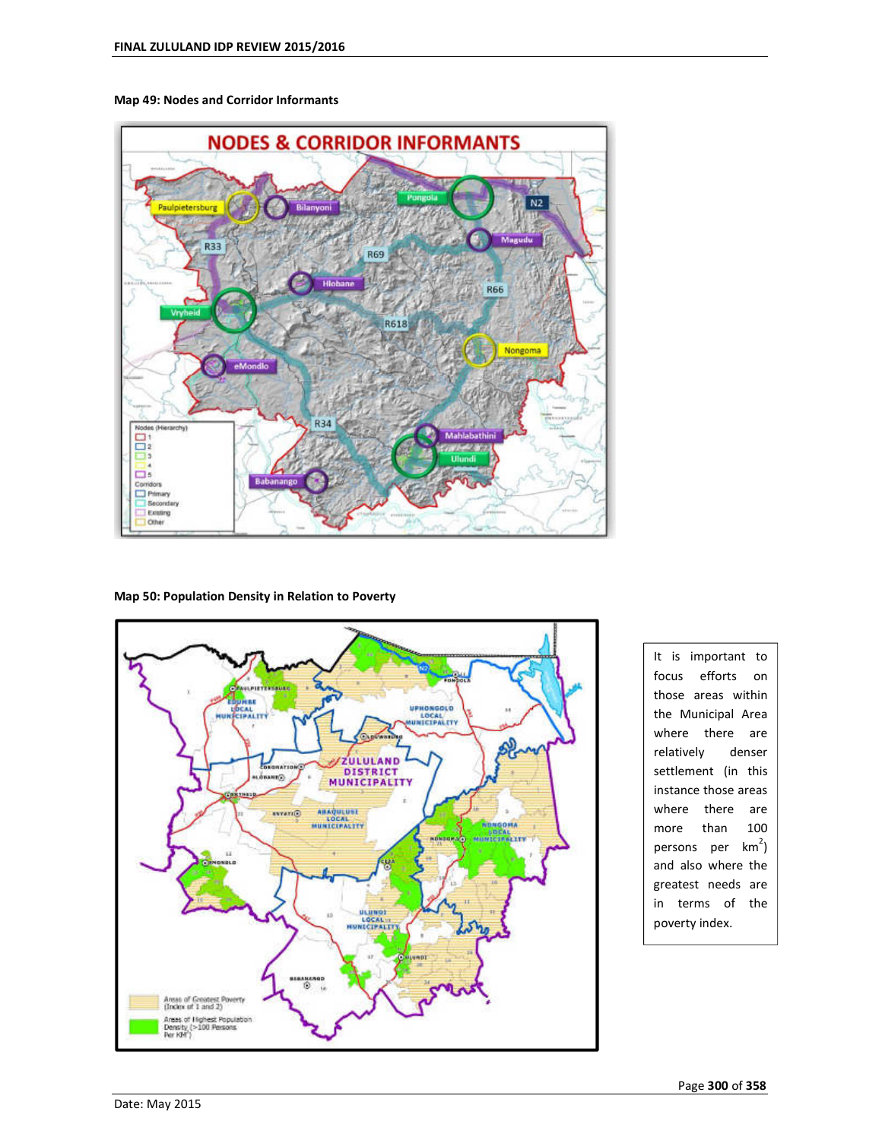

**Map 49: Nodes and Corridor Informants** 

#### **Map 50: Population Density in Relation to Poverty**



It is important to focus efforts on those areas within the Municipal Area where there are relatively denser settlement (in this instance those areas where there are more than 100 persons per km<sup>2</sup>) and also where the greatest needs are in terms of the poverty index.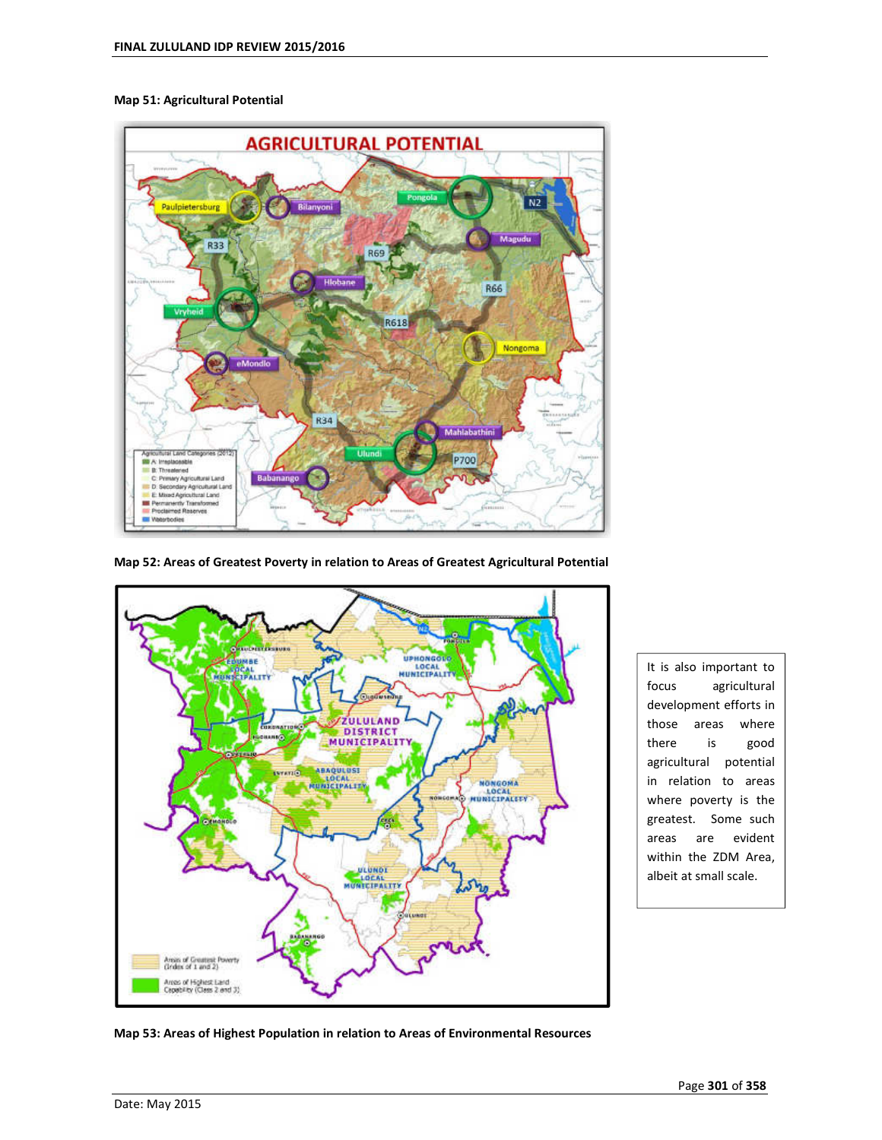

#### **Map 51: Agricultural Potential**

![](_page_3_Figure_3.jpeg)

![](_page_3_Figure_4.jpeg)

It is also important to focus agricultural development efforts in those areas where there is good agricultural potential in relation to areas where poverty is the greatest. Some such areas are evident within the ZDM Area, albeit at small scale.

**Map 53: Areas of Highest Population in relation to Areas of Environmental Resources**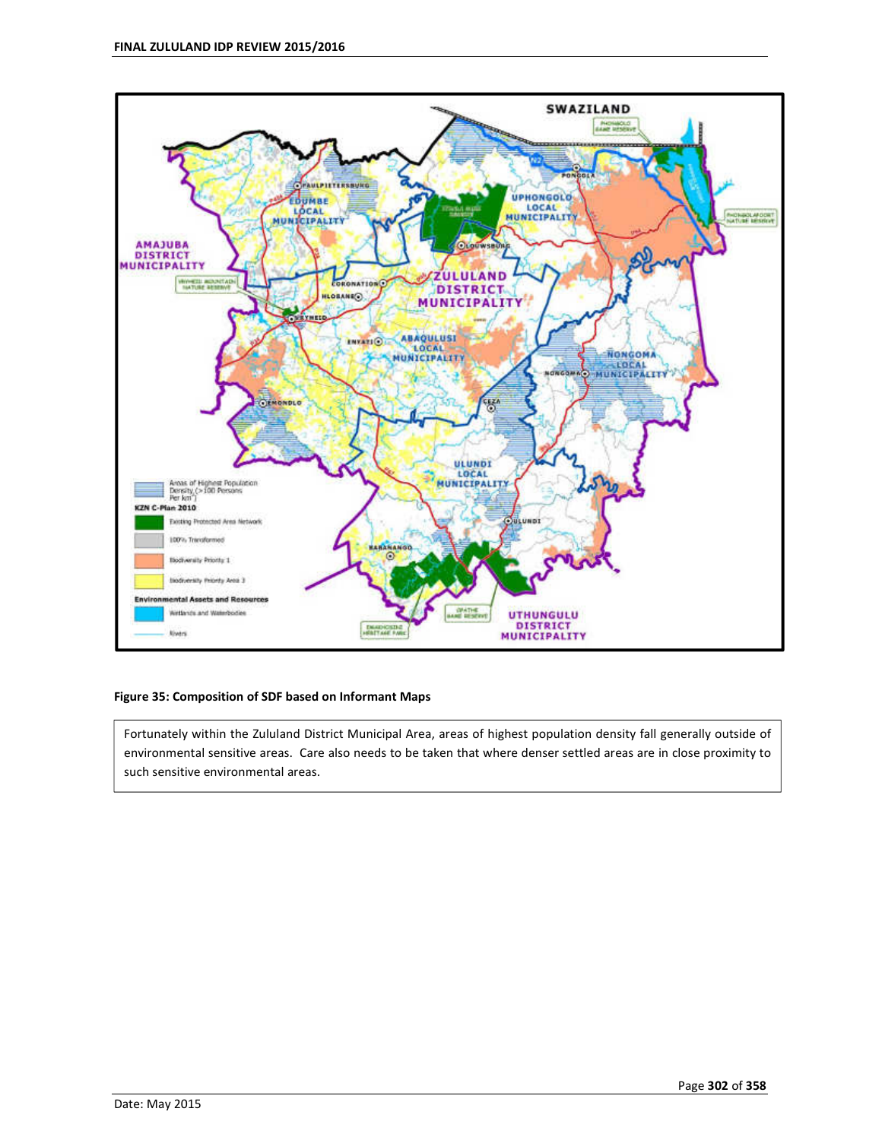![](_page_4_Figure_1.jpeg)

### **Figure 35: Composition of SDF based on Informant Maps**

Fortunately within the Zululand District Municipal Area, areas of highest population density fall generally outside of environmental sensitive areas. Care also needs to be taken that where denser settled areas are in close proximity to such sensitive environmental areas.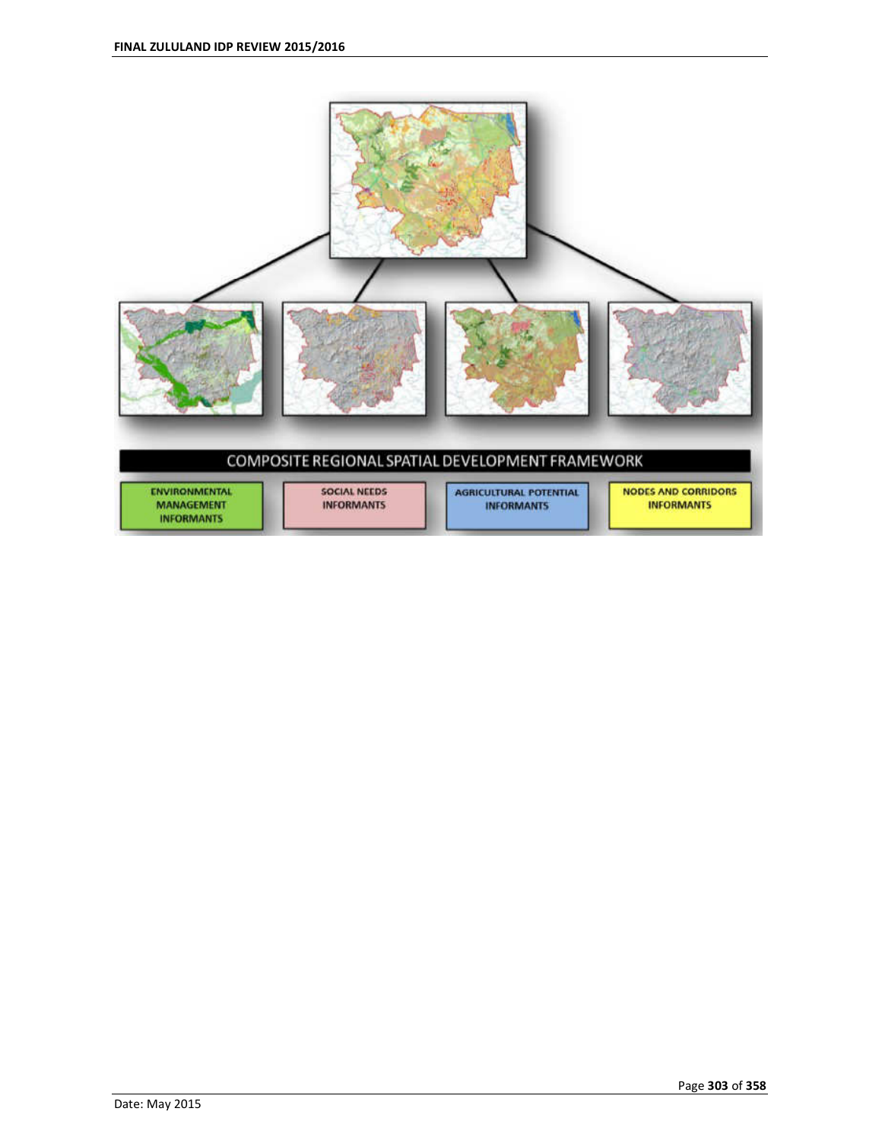![](_page_5_Figure_1.jpeg)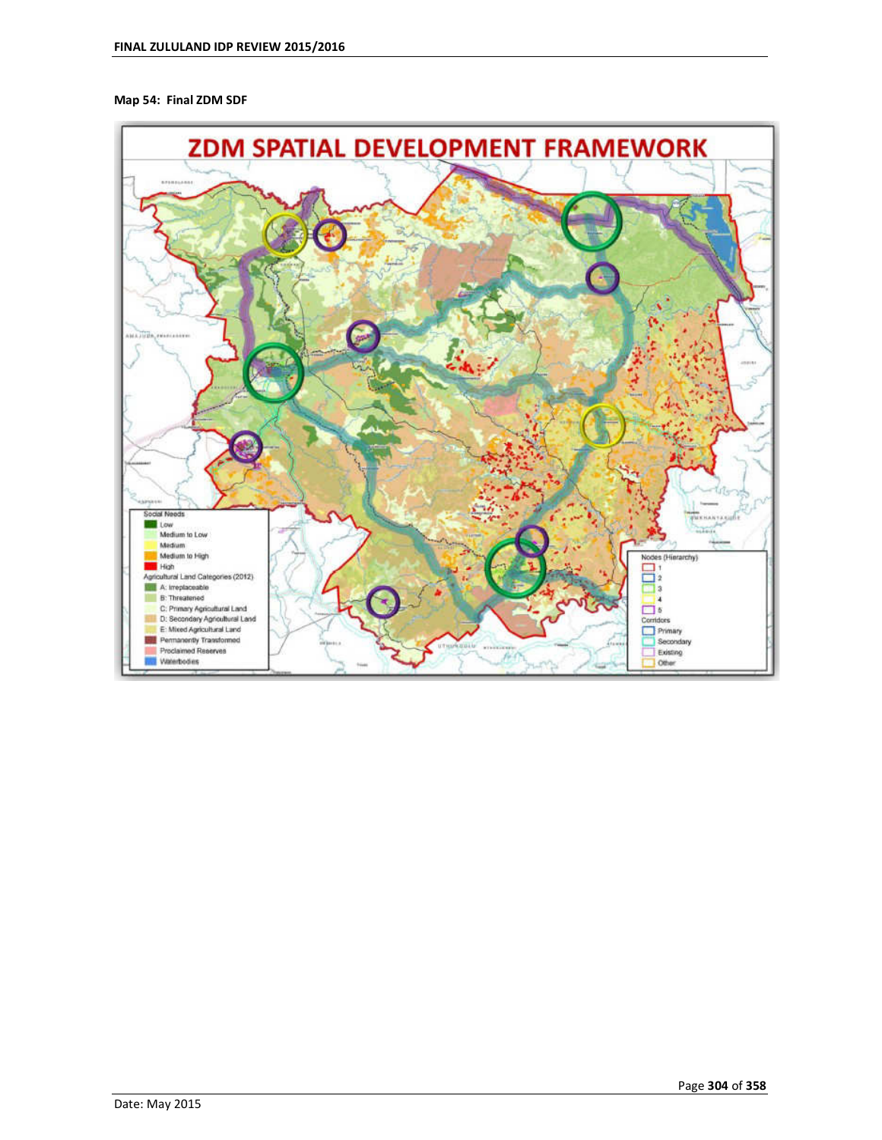### **Map 54: Final ZDM SDF**

![](_page_6_Figure_2.jpeg)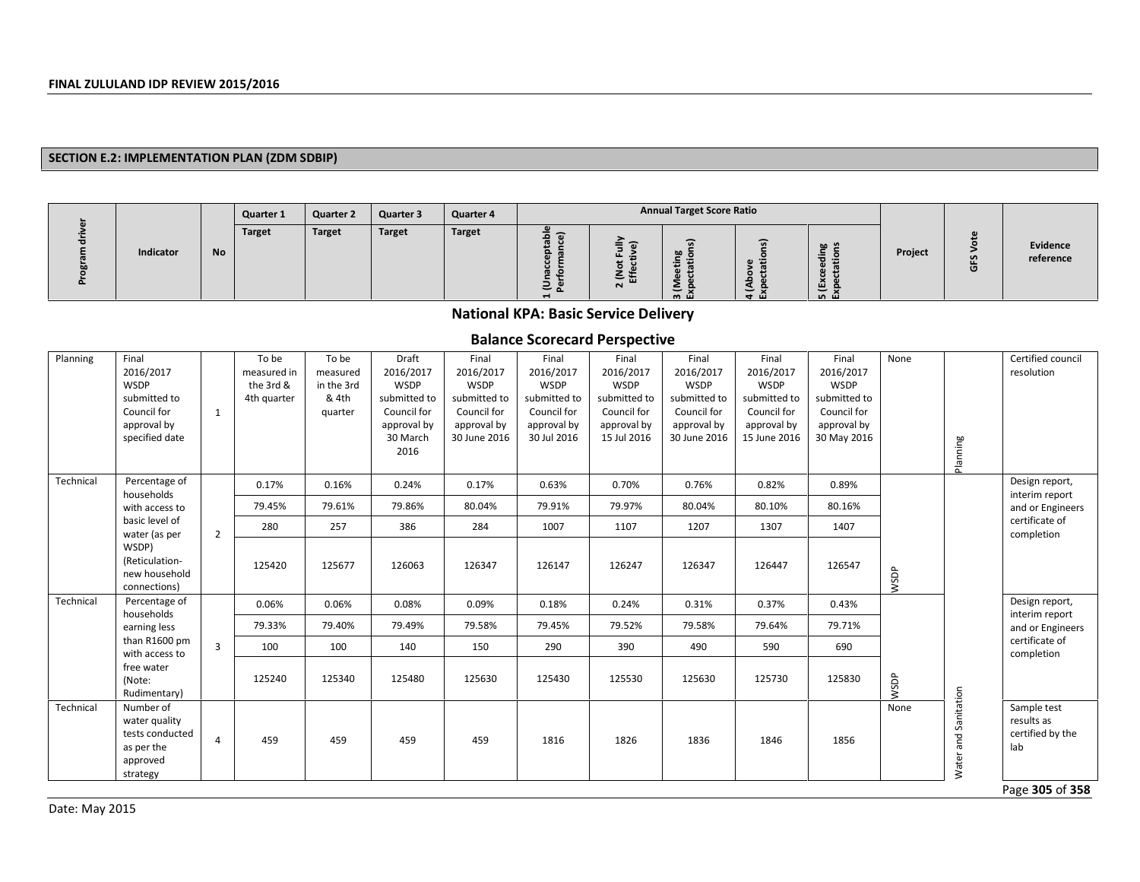#### **SECTION E.2: IMPLEMENTATION PLAN (ZDM SDBIP)**

|           |           | <b>Quarter 1</b> | <b>Quarter 2</b> | Quarter 3     | <b>Quarter 4</b> |                    |                  | <b>Annual Target Score Ratio</b>                           |                                                           |                                                                    |         |        |                       |
|-----------|-----------|------------------|------------------|---------------|------------------|--------------------|------------------|------------------------------------------------------------|-----------------------------------------------------------|--------------------------------------------------------------------|---------|--------|-----------------------|
| Indicator | <b>No</b> | <b>Target</b>    | Target           | <b>Target</b> | Target           | ء<br>-<br>— n<br>- | ட<br>=<br>$\sim$ | <u>т</u><br>$\sim$<br>-<br>$\overline{\phantom{0}}$<br>ത ய | -<br>$\mathbf{a}$<br>$\overline{\phantom{a}}$<br><b>S</b> | യ ച<br>.=<br>-<br>$\bullet$<br>ш<br>$\overline{\phantom{0}}$<br>மய | Project | S<br>ō | Evidence<br>reference |

## **National KPA: Basic Service Delivery**

## **Balance Scorecard Perspective**

| Planning  | Final<br>2016/2017<br><b>WSDP</b><br>submitted to<br>Council for<br>approval by<br>specified date | $\mathbf{1}$   | To be<br>measured in<br>the 3rd &<br>4th quarter | To be<br>measured<br>in the 3rd<br>& 4th<br>quarter | Draft<br>2016/2017<br>WSDP<br>submitted to<br>Council for<br>approval by<br>30 March<br>2016 | Final<br>2016/2017<br><b>WSDP</b><br>submitted to<br>Council for<br>approval by<br>30 June 2016 | Final<br>2016/2017<br>WSDP<br>submitted to<br>Council for<br>approval by<br>30 Jul 2016 | Final<br>2016/2017<br><b>WSDP</b><br>submitted to<br>Council for<br>approval by<br>15 Jul 2016 | Final<br>2016/2017<br><b>WSDP</b><br>submitted to<br>Council for<br>approval by<br>30 June 2016 | Final<br>2016/2017<br><b>WSDP</b><br>submitted to<br>Council for<br>approval by<br>15 June 2016 | Final<br>2016/2017<br><b>WSDP</b><br>submitted to<br>Council for<br>approval by<br>30 May 2016 | None | Planning                   | Certified council<br>resolution                                             |
|-----------|---------------------------------------------------------------------------------------------------|----------------|--------------------------------------------------|-----------------------------------------------------|----------------------------------------------------------------------------------------------|-------------------------------------------------------------------------------------------------|-----------------------------------------------------------------------------------------|------------------------------------------------------------------------------------------------|-------------------------------------------------------------------------------------------------|-------------------------------------------------------------------------------------------------|------------------------------------------------------------------------------------------------|------|----------------------------|-----------------------------------------------------------------------------|
| Technical | Percentage of<br>households                                                                       |                | 0.17%                                            | 0.16%                                               | 0.24%                                                                                        | 0.17%                                                                                           | 0.63%                                                                                   | 0.70%                                                                                          | 0.76%                                                                                           | 0.82%                                                                                           | 0.89%                                                                                          |      |                            | Design report,<br>interim report                                            |
|           | with access to                                                                                    |                | 79.45%                                           | 79.61%                                              | 79.86%                                                                                       | 80.04%                                                                                          | 79.91%                                                                                  | 79.97%                                                                                         | 80.04%                                                                                          | 80.10%                                                                                          | 80.16%                                                                                         |      |                            | and or Engineers                                                            |
|           | basic level of<br>water (as per                                                                   | $\overline{2}$ | 280                                              | 257                                                 | 386                                                                                          | 284                                                                                             | 1007                                                                                    | 1107                                                                                           | 1207                                                                                            | 1307                                                                                            | 1407                                                                                           |      |                            | certificate of<br>completion                                                |
|           | WSDP)<br>(Reticulation-<br>new household<br>connections)                                          |                | 125420                                           | 125677                                              | 126063                                                                                       | 126347                                                                                          | 126147                                                                                  | 126247                                                                                         | 126347                                                                                          | 126447                                                                                          | 126547                                                                                         | WSDP |                            |                                                                             |
| Technical | Percentage of<br>households                                                                       |                | 0.06%                                            | 0.06%                                               | 0.08%                                                                                        | 0.09%                                                                                           | 0.18%                                                                                   | 0.24%                                                                                          | 0.31%                                                                                           | 0.37%                                                                                           | 0.43%                                                                                          |      |                            | Design report,<br>interim report                                            |
|           | earning less                                                                                      |                | 79.33%                                           | 79.40%                                              | 79.49%                                                                                       | 79.58%                                                                                          | 79.45%                                                                                  | 79.52%                                                                                         | 79.58%                                                                                          | 79.64%                                                                                          | 79.71%                                                                                         |      |                            | and or Engineers                                                            |
|           | than R1600 pm<br>with access to                                                                   | $\overline{3}$ | 100                                              | 100                                                 | 140                                                                                          | 150                                                                                             | 290                                                                                     | 390                                                                                            | 490                                                                                             | 590                                                                                             | 690                                                                                            |      |                            | certificate of<br>completion                                                |
|           | free water<br>(Note:<br>Rudimentary)                                                              |                | 125240                                           | 125340                                              | 125480                                                                                       | 125630                                                                                          | 125430                                                                                  | 125530                                                                                         | 125630                                                                                          | 125730                                                                                          | 125830                                                                                         | WSDP |                            |                                                                             |
| Technical | Number of<br>water quality<br>tests conducted<br>as per the<br>approved<br>strategy               | $\overline{4}$ | 459                                              | 459                                                 | 459                                                                                          | 459                                                                                             | 1816                                                                                    | 1826                                                                                           | 1836                                                                                            | 1846                                                                                            | 1856                                                                                           | None | Sanitation<br>and<br>Water | Sample test<br>results as<br>certified by the<br>lab<br>$D = 0.005$ $0.000$ |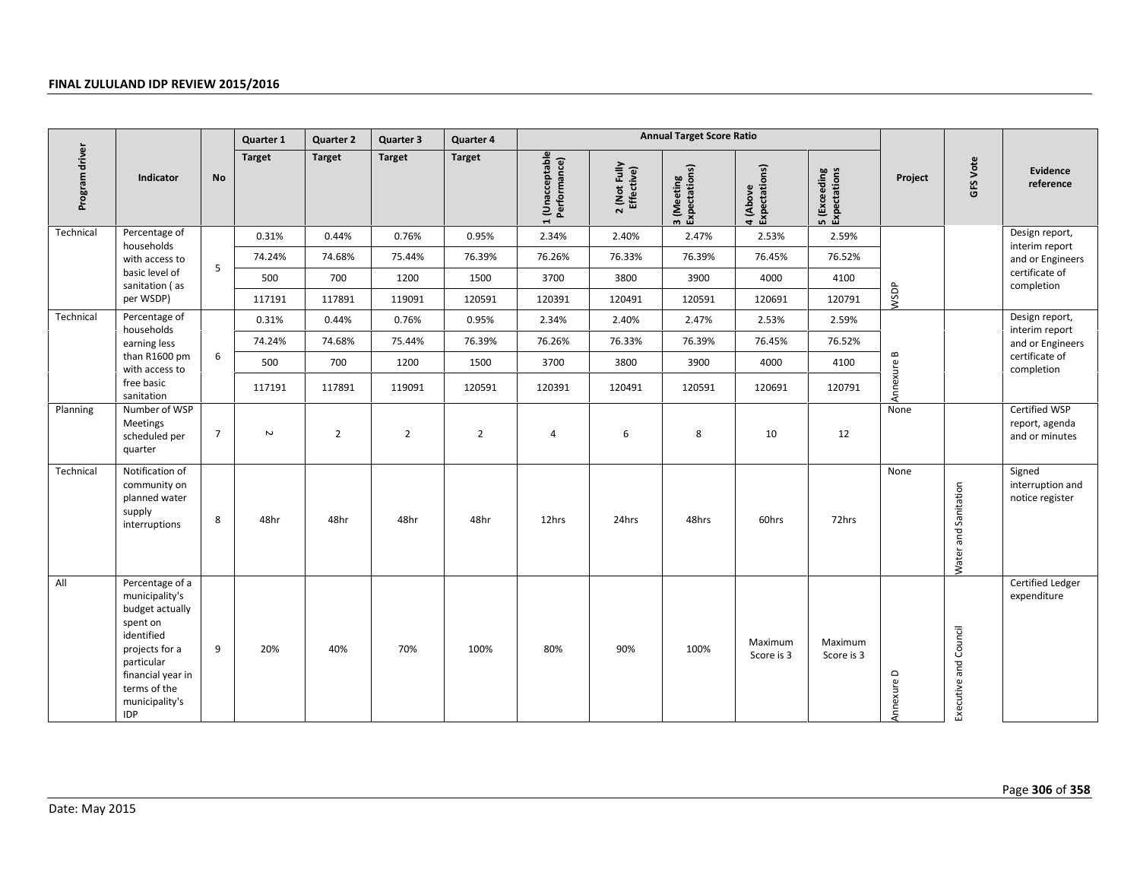|                |                                                                                                                                                                                     |                | Quarter 1     | <b>Quarter 2</b> | Quarter 3      | Quarter 4      |                                 |                            | <b>Annual Target Score Ratio</b> |                           |                              |            |                       |                                                   |
|----------------|-------------------------------------------------------------------------------------------------------------------------------------------------------------------------------------|----------------|---------------|------------------|----------------|----------------|---------------------------------|----------------------------|----------------------------------|---------------------------|------------------------------|------------|-----------------------|---------------------------------------------------|
| Program driver | <b>Indicator</b>                                                                                                                                                                    | <b>No</b>      | <b>Target</b> | <b>Target</b>    | <b>Target</b>  | <b>Target</b>  | 1 (Unacceptable<br>Performance) | 2 (Not Fully<br>Effective) | Expectations)<br>3 (Meeting      | 4 (Above<br>Expectations) | 5 (Exceeding<br>Expectations | Project    | GFS Vote              | Evidence<br>reference                             |
| Technical      | Percentage of<br>households                                                                                                                                                         |                | 0.31%         | 0.44%            | 0.76%          | 0.95%          | 2.34%                           | 2.40%                      | 2.47%                            | 2.53%                     | 2.59%                        |            |                       | Design report,<br>interim report                  |
|                | with access to                                                                                                                                                                      | 5              | 74.24%        | 74.68%           | 75.44%         | 76.39%         | 76.26%                          | 76.33%                     | 76.39%                           | 76.45%                    | 76.52%                       |            |                       | and or Engineers                                  |
|                | basic level of<br>sanitation (as                                                                                                                                                    |                | 500           | 700              | 1200           | 1500           | 3700                            | 3800                       | 3900                             | 4000                      | 4100                         |            |                       | certificate of<br>completion                      |
|                | per WSDP)                                                                                                                                                                           |                | 117191        | 117891           | 119091         | 120591         | 120391                          | 120491                     | 120591                           | 120691                    | 120791                       | WSDP       |                       |                                                   |
| Technical      | Percentage of<br>households                                                                                                                                                         |                | 0.31%         | 0.44%            | 0.76%          | 0.95%          | 2.34%                           | 2.40%                      | 2.47%                            | 2.53%                     | 2.59%                        |            |                       | Design report,<br>interim report                  |
|                | earning less                                                                                                                                                                        |                | 74.24%        | 74.68%           | 75.44%         | 76.39%         | 76.26%                          | 76.33%                     | 76.39%                           | 76.45%                    | 76.52%                       |            |                       | and or Engineers                                  |
|                | than R1600 pm<br>with access to                                                                                                                                                     | 6              | 500           | 700              | 1200           | 1500           | 3700                            | 3800                       | 3900                             | 4000                      | 4100                         |            |                       | certificate of<br>completion                      |
|                | free basic<br>sanitation                                                                                                                                                            |                | 117191        | 117891           | 119091         | 120591         | 120391                          | 120491                     | 120591                           | 120691                    | 120791                       | Annexure B |                       |                                                   |
| Planning       | Number of WSP<br>Meetings<br>scheduled per<br>quarter                                                                                                                               | $\overline{7}$ | $\sim$        | $\overline{2}$   | $\overline{2}$ | $\overline{2}$ | $\overline{4}$                  | 6                          | 8                                | 10                        | 12                           | None       |                       | Certified WSP<br>report, agenda<br>and or minutes |
| Technical      | Notification of<br>community on<br>planned water<br>supply<br>interruptions                                                                                                         | 8              | 48hr          | 48hr             | 48hr           | 48hr           | 12hrs                           | 24hrs                      | 48hrs                            | 60hrs                     | 72hrs                        | None       | Water and Sanitation  | Signed<br>interruption and<br>notice register     |
| All            | Percentage of a<br>municipality's<br>budget actually<br>spent on<br>identified<br>projects for a<br>particular<br>financial year in<br>terms of the<br>municipality's<br><b>IDP</b> | 9              | 20%           | 40%              | 70%            | 100%           | 80%                             | 90%                        | 100%                             | Maximum<br>Score is 3     | Maximum<br>Score is 3        | Annexure D | Executive and Council | Certified Ledger<br>expenditure                   |
| Date: May 2015 |                                                                                                                                                                                     |                |               |                  |                |                |                                 |                            |                                  |                           |                              |            |                       | Page 306 of 358                                   |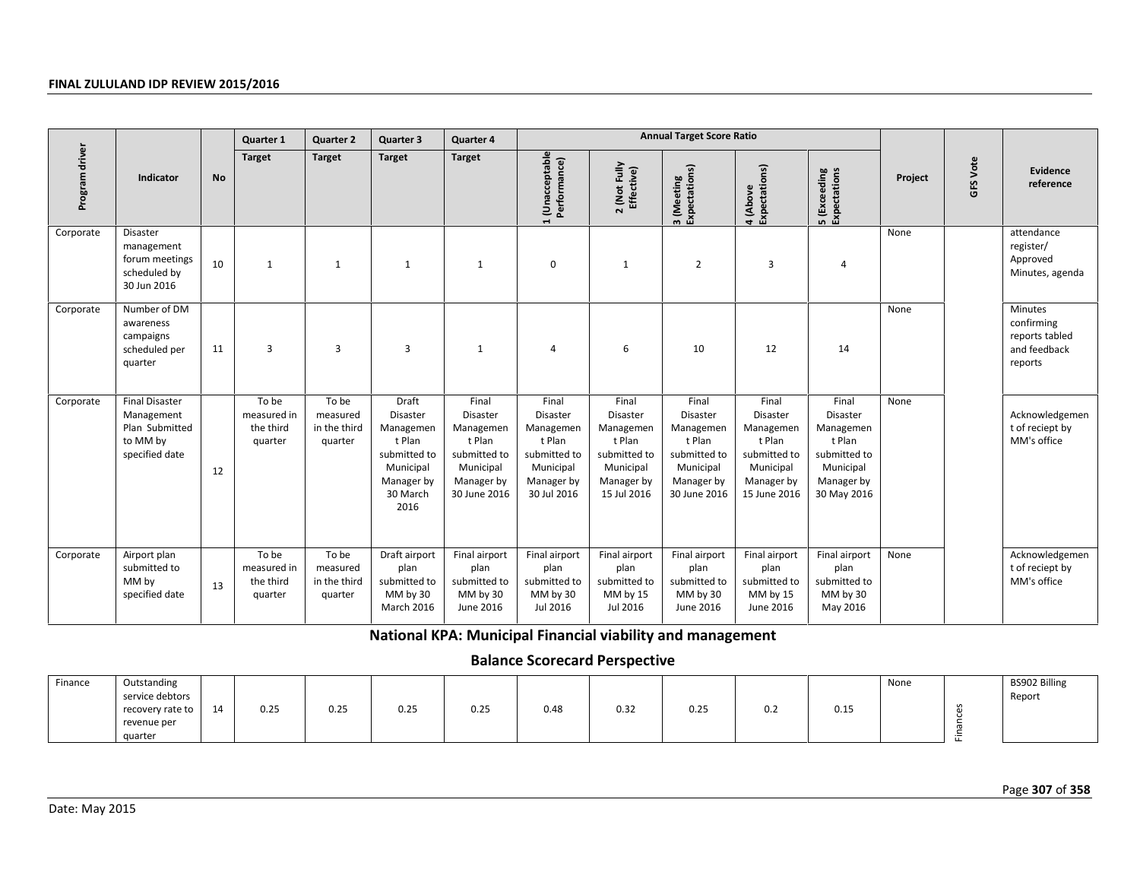|                |                                                                                     |           | <b>Quarter 1</b>                             | <b>Quarter 2</b>                             | Quarter 3                                                                                               | Quarter 4                                                                                           |                                                                                                    |                                                                                                    | <b>Annual Target Score Ratio</b>                                                                    |                                                                                                     |                                                                                                    |         |                 |                                                                    |
|----------------|-------------------------------------------------------------------------------------|-----------|----------------------------------------------|----------------------------------------------|---------------------------------------------------------------------------------------------------------|-----------------------------------------------------------------------------------------------------|----------------------------------------------------------------------------------------------------|----------------------------------------------------------------------------------------------------|-----------------------------------------------------------------------------------------------------|-----------------------------------------------------------------------------------------------------|----------------------------------------------------------------------------------------------------|---------|-----------------|--------------------------------------------------------------------|
| Program driver | Indicator                                                                           | <b>No</b> | <b>Target</b>                                | <b>Target</b>                                | <b>Target</b>                                                                                           | <b>Target</b>                                                                                       | 1 (Unacceptable<br>Performance)<br>$\blacksquare$                                                  | 2 (Not Fully<br>Effective)                                                                         | 3 (Meeting<br>Expectations)                                                                         | Expectations)<br>4 (Above                                                                           | <b>5</b> (Exceeding<br>Expectations                                                                | Project | <b>GFS Vote</b> | Evidence<br>reference                                              |
| Corporate      | Disaster<br>management<br>forum meetings<br>scheduled by<br>30 Jun 2016             | 10        | $\mathbf{1}$                                 | 1                                            | $\mathbf{1}$                                                                                            | 1                                                                                                   | $\mathbf 0$                                                                                        | $\mathbf{1}$                                                                                       | $\overline{2}$                                                                                      | $\overline{3}$                                                                                      | 4                                                                                                  | None    |                 | attendance<br>register/<br>Approved<br>Minutes, agenda             |
| Corporate      | Number of DM<br>awareness<br>campaigns<br>scheduled per<br>quarter                  | 11        | 3                                            | 3                                            | 3                                                                                                       | $\mathbf{1}$                                                                                        | $\overline{4}$                                                                                     | 6                                                                                                  | 10                                                                                                  | 12                                                                                                  | 14                                                                                                 | None    |                 | Minutes<br>confirming<br>reports tabled<br>and feedback<br>reports |
| Corporate      | <b>Final Disaster</b><br>Management<br>Plan Submitted<br>to MM by<br>specified date | 12        | To be<br>measured in<br>the third<br>quarter | To be<br>measured<br>in the third<br>quarter | Draft<br>Disaster<br>Managemen<br>t Plan<br>submitted to<br>Municipal<br>Manager by<br>30 March<br>2016 | Final<br>Disaster<br>Managemen<br>t Plan<br>submitted to<br>Municipal<br>Manager by<br>30 June 2016 | Final<br>Disaster<br>Managemen<br>t Plan<br>submitted to<br>Municipal<br>Manager by<br>30 Jul 2016 | Final<br>Disaster<br>Managemen<br>t Plan<br>submitted to<br>Municipal<br>Manager by<br>15 Jul 2016 | Final<br>Disaster<br>Managemen<br>t Plan<br>submitted to<br>Municipal<br>Manager by<br>30 June 2016 | Final<br>Disaster<br>Managemen<br>t Plan<br>submitted to<br>Municipal<br>Manager by<br>15 June 2016 | Final<br>Disaster<br>Managemen<br>t Plan<br>submitted to<br>Municipal<br>Manager by<br>30 May 2016 | None    |                 | Acknowledgemen<br>t of reciept by<br>MM's office                   |
| Corporate      | Airport plan<br>submitted to<br>MM by<br>specified date                             | 13        | To be<br>measured in<br>the third<br>quarter | To be<br>measured<br>in the third<br>quarter | Draft airport<br>plan<br>submitted to<br>MM by 30<br>March 2016                                         | Final airport<br>plan<br>submitted to<br>MM by 30<br>June 2016                                      | Final airport<br>plan<br>submitted to<br>MM by 30<br>Jul 2016                                      | Final airport<br>plan<br>submitted to<br>MM by 15<br>Jul 2016                                      | Final airport<br>plan<br>submitted to<br>MM by 30<br>June 2016                                      | Final airport<br>plan<br>submitted to<br>MM by 15<br>June 2016                                      | Final airport<br>plan<br>submitted to<br>MM by 30<br>May 2016                                      | None    |                 | Acknowledgemen<br>t of reciept by<br>MM's office                   |
|                |                                                                                     |           |                                              |                                              | National KPA: Municipal Financial viability and management                                              |                                                                                                     |                                                                                                    |                                                                                                    |                                                                                                     |                                                                                                     |                                                                                                    |         |                 |                                                                    |
|                |                                                                                     |           |                                              |                                              |                                                                                                         |                                                                                                     | <b>Balance Scorecard Perspective</b>                                                               |                                                                                                    |                                                                                                     |                                                                                                     |                                                                                                    |         |                 |                                                                    |
| Finance        | Outstanding<br>service debtors<br>recovery rate to<br>revenue per<br>quarter        | 14        | 0.25                                         | 0.25                                         | 0.25                                                                                                    | 0.25                                                                                                | 0.48                                                                                               | 0.32                                                                                               | 0.25                                                                                                | 0.2                                                                                                 | 0.15                                                                                               | None    | Finances        | BS902 Billing<br>Report                                            |
| Date: May 2015 |                                                                                     |           |                                              |                                              |                                                                                                         |                                                                                                     |                                                                                                    |                                                                                                    |                                                                                                     |                                                                                                     |                                                                                                    |         |                 | Page 307 of 358                                                    |

# **Balance Scorecard Perspective**

| Finance | Outstanding      |    |      |      |      |                              |      |      |                              |     |      | None | BS902 Billing |
|---------|------------------|----|------|------|------|------------------------------|------|------|------------------------------|-----|------|------|---------------|
|         | service debtors  |    |      |      |      |                              |      |      |                              |     |      |      | Report        |
|         | recovery rate to | 14 | 0.25 | 0.25 | 0.25 | $\sim$ $\sim$ $\sim$<br>U.Z5 | 0.48 | 0.32 | $\sim$ $\sim$ $\sim$<br>0.25 | 0.2 | 0.15 |      |               |
|         | revenue per      |    |      |      |      |                              |      |      |                              |     |      |      |               |
|         | quarter          |    |      |      |      |                              |      |      |                              |     |      |      |               |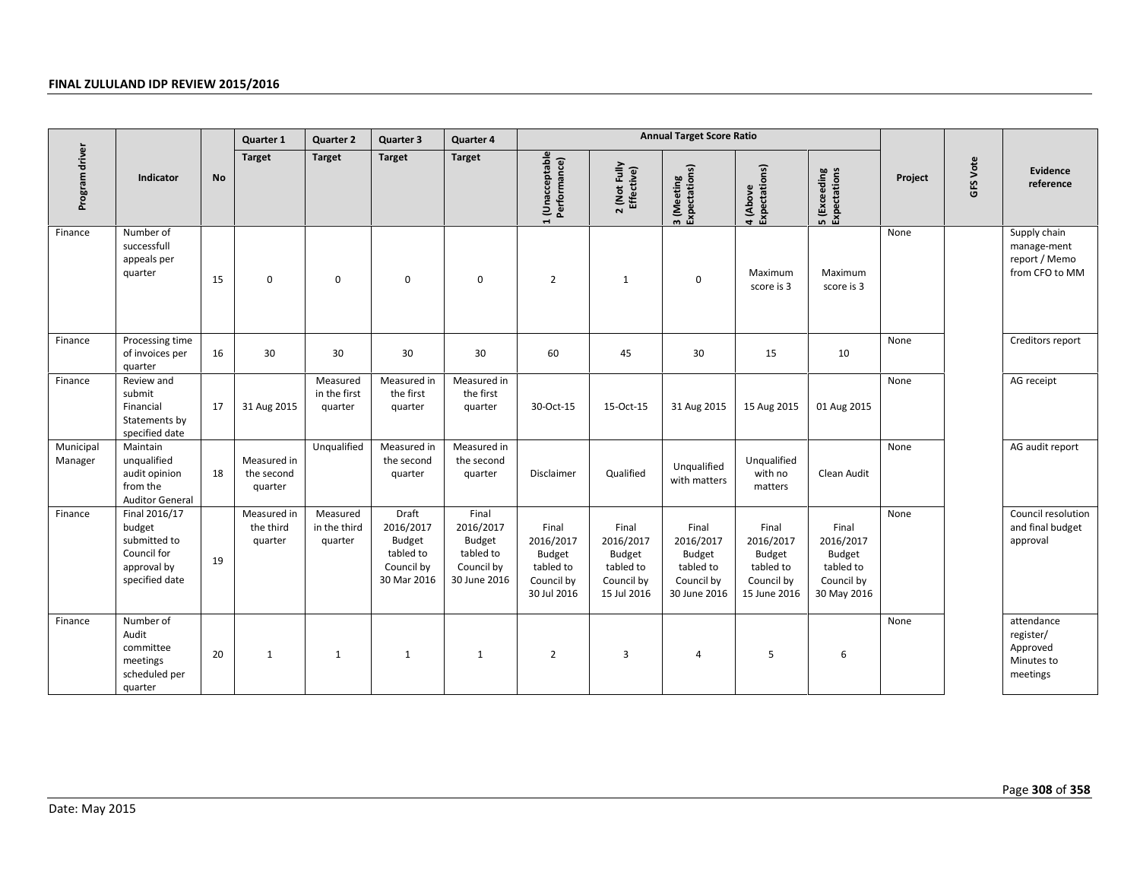|                      |                                                                                         |    | Quarter 1                            | <b>Quarter 2</b>                    | Quarter 3                                                              | Quarter 4                                                               |                                                                               |                                                                               | <b>Annual Target Score Ratio</b>                                        |                                                                                |                                                                               |         |          |                                                                |
|----------------------|-----------------------------------------------------------------------------------------|----|--------------------------------------|-------------------------------------|------------------------------------------------------------------------|-------------------------------------------------------------------------|-------------------------------------------------------------------------------|-------------------------------------------------------------------------------|-------------------------------------------------------------------------|--------------------------------------------------------------------------------|-------------------------------------------------------------------------------|---------|----------|----------------------------------------------------------------|
| Program driver       | Indicator                                                                               | No | Target                               | Target                              | Target                                                                 | <b>Target</b>                                                           | 1 (Unacceptable<br>Performance)                                               | 2 (Not Fully<br>Effective)                                                    | 3 (Meeting<br>Expectations)                                             | 4 (Above<br>Expectations)                                                      | 5 (Exceeding<br>Expectations                                                  | Project | GFS Vote | Evidence<br>reference                                          |
| Finance              | Number of<br>successfull<br>appeals per<br>quarter                                      | 15 | 0                                    | $\mathbf 0$                         | $\mathbf 0$                                                            | $\mathbf 0$                                                             | $\overline{2}$                                                                | $\mathbf{1}$                                                                  | $\boldsymbol{0}$                                                        | Maximum<br>score is 3                                                          | Maximum<br>score is 3                                                         | None    |          | Supply chain<br>manage-ment<br>report / Memo<br>from CFO to MM |
| Finance              | Processing time<br>of invoices per<br>quarter                                           | 16 | 30                                   | 30                                  | 30                                                                     | 30                                                                      | 60                                                                            | 45                                                                            | 30                                                                      | 15                                                                             | 10                                                                            | None    |          | Creditors report                                               |
| Finance              | Review and<br>submit<br>Financial<br>Statements by<br>specified date                    | 17 | 31 Aug 2015                          | Measured<br>in the first<br>quarter | Measured in<br>the first<br>quarter                                    | Measured in<br>the first<br>quarter                                     | 30-Oct-15                                                                     | 15-Oct-15                                                                     | 31 Aug 2015                                                             | 15 Aug 2015                                                                    | 01 Aug 2015                                                                   | None    |          | AG receipt                                                     |
| Municipal<br>Manager | Maintain<br>unqualified<br>audit opinion<br>from the<br><b>Auditor General</b>          | 18 | Measured in<br>the second<br>quarter | Unqualified                         | Measured in<br>the second<br>quarter                                   | Measured in<br>the second<br>quarter                                    | Disclaimer                                                                    | Qualified                                                                     | Unqualified<br>with matters                                             | Unqualified<br>with no<br>matters                                              | Clean Audit                                                                   | None    |          | AG audit report                                                |
| Finance              | Final 2016/17<br>budget<br>submitted to<br>Council for<br>approval by<br>specified date | 19 | Measured in<br>the third<br>quarter  | Measured<br>in the third<br>quarter | Draft<br>2016/2017<br>Budget<br>tabled to<br>Council by<br>30 Mar 2016 | Final<br>2016/2017<br>Budget<br>tabled to<br>Council by<br>30 June 2016 | Final<br>2016/2017<br><b>Budget</b><br>tabled to<br>Council by<br>30 Jul 2016 | Final<br>2016/2017<br><b>Budget</b><br>tabled to<br>Council by<br>15 Jul 2016 | Final<br>2016/2017<br>Budget<br>tabled to<br>Council by<br>30 June 2016 | Final<br>2016/2017<br><b>Budget</b><br>tabled to<br>Council by<br>15 June 2016 | Final<br>2016/2017<br><b>Budget</b><br>tabled to<br>Council by<br>30 May 2016 | None    |          | Council resolution<br>and final budget<br>approval             |
| Finance              | Number of<br>Audit<br>committee<br>meetings<br>scheduled per<br>quarter                 | 20 | $\mathbf{1}$                         | $\mathbf{1}$                        | $\mathbf{1}$                                                           | 1                                                                       | $\overline{2}$                                                                | 3                                                                             | $\overline{4}$                                                          | 5                                                                              | 6                                                                             | None    |          | attendance<br>register/<br>Approved<br>Minutes to<br>meetings  |
| Date: May 2015       |                                                                                         |    |                                      |                                     |                                                                        |                                                                         |                                                                               |                                                                               |                                                                         |                                                                                |                                                                               |         |          | Page 308 of 358                                                |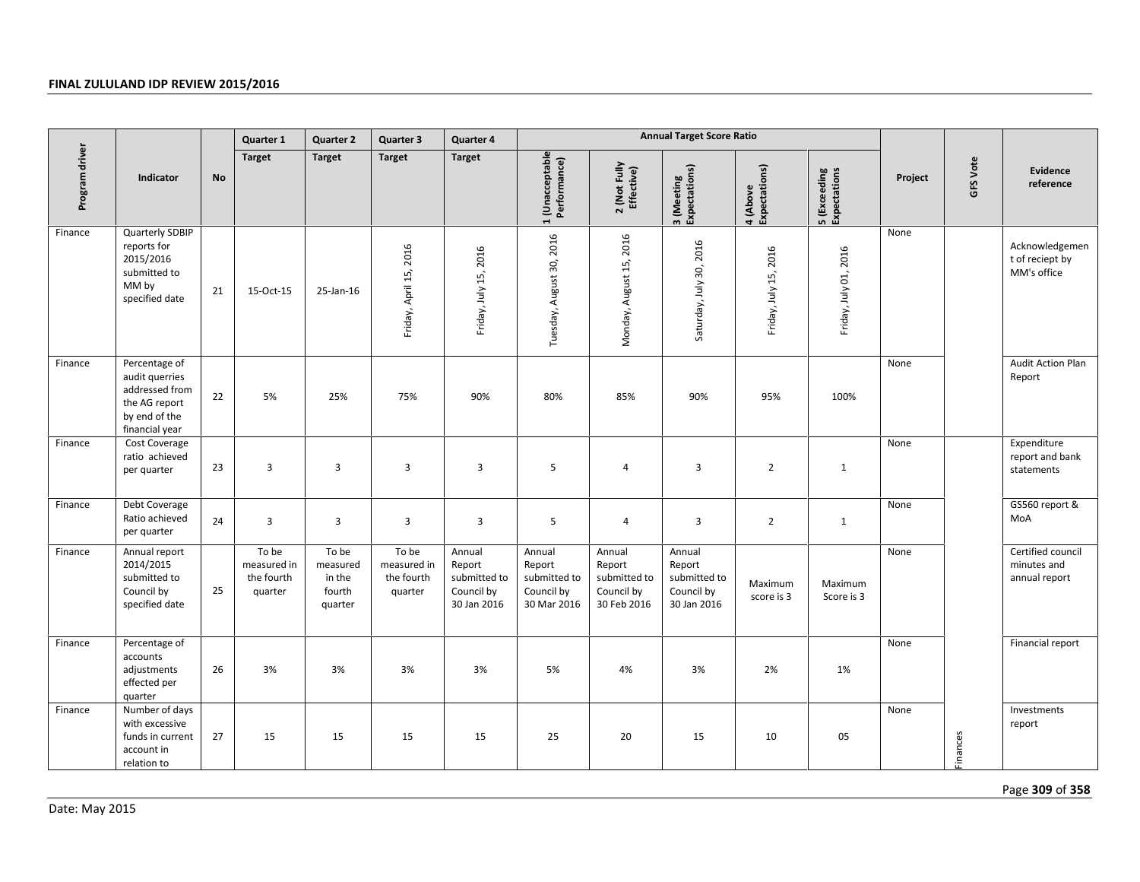|                |                                                                                                       |           | Quarter 1                                     | <b>Quarter 2</b>                                 | Quarter 3                                     | Quarter 4                                                     |                                                               |                                                               | <b>Annual Target Score Ratio</b>                              |                           |                              |         |          |                                                   |
|----------------|-------------------------------------------------------------------------------------------------------|-----------|-----------------------------------------------|--------------------------------------------------|-----------------------------------------------|---------------------------------------------------------------|---------------------------------------------------------------|---------------------------------------------------------------|---------------------------------------------------------------|---------------------------|------------------------------|---------|----------|---------------------------------------------------|
| Program driver | Indicator                                                                                             | <b>No</b> | <b>Target</b>                                 | <b>Target</b>                                    | <b>Target</b>                                 | <b>Target</b>                                                 | 1 (Unacceptable<br>Performance)                               | 2 (Not Fully<br>Effective)                                    | 3 (Meeting<br>Expectations)                                   | Expectations)<br>4 (Above | 5 (Exceeding<br>Expectations | Project | GFS Vote | Evidence<br>reference                             |
| Finance        | Quarterly SDBIP<br>reports for<br>2015/2016<br>submitted to<br>MM by<br>specified date                | 21        | 15-Oct-15                                     | 25-Jan-16                                        | Friday, April 15, 2016                        | Friday, July 15, 2016                                         | Tuesday, August 30, 2016                                      | Monday, August 15, 2016                                       | Saturday, July 30, 2016                                       | 2016<br>Friday, July 15,  | Friday, July 01, 2016        | None    |          | Acknowledgemen<br>t of reciept by<br>MM's office  |
| Finance        | Percentage of<br>audit querries<br>addressed from<br>the AG report<br>by end of the<br>financial year | 22        | 5%                                            | 25%                                              | 75%                                           | 90%                                                           | 80%                                                           | 85%                                                           | 90%                                                           | 95%                       | 100%                         | None    |          | <b>Audit Action Plan</b><br>Report                |
| Finance        | Cost Coverage<br>ratio achieved<br>per quarter                                                        | 23        | $\overline{3}$                                | 3                                                | 3                                             | $\overline{3}$                                                | 5                                                             | 4                                                             | $\overline{\mathbf{3}}$                                       | $\overline{2}$            | $\mathbf{1}$                 | None    |          | Expenditure<br>report and bank<br>statements      |
| Finance        | Debt Coverage<br>Ratio achieved<br>per quarter                                                        | 24        | $\overline{3}$                                | 3                                                | $\overline{3}$                                | $\overline{3}$                                                | 5                                                             | 4                                                             | $\overline{3}$                                                | $\overline{2}$            | $\mathbf{1}$                 | None    |          | GS560 report &<br>MoA                             |
| Finance        | Annual report<br>2014/2015<br>submitted to<br>Council by<br>specified date                            | 25        | To be<br>measured in<br>the fourth<br>quarter | To be<br>measured<br>in the<br>fourth<br>quarter | To be<br>measured in<br>the fourth<br>quarter | Annual<br>Report<br>submitted to<br>Council by<br>30 Jan 2016 | Annual<br>Report<br>submitted to<br>Council by<br>30 Mar 2016 | Annual<br>Report<br>submitted to<br>Council by<br>30 Feb 2016 | Annual<br>Report<br>submitted to<br>Council by<br>30 Jan 2016 | Maximum<br>score is 3     | Maximum<br>Score is 3        | None    |          | Certified council<br>minutes and<br>annual report |
| Finance        | Percentage of<br>accounts<br>adjustments<br>effected per<br>quarter                                   | 26        | 3%                                            | 3%                                               | 3%                                            | 3%                                                            | 5%                                                            | 4%                                                            | 3%                                                            | 2%                        | 1%                           | None    |          | Financial report                                  |
| Finance        | Number of days<br>with excessive<br>funds in current<br>account in<br>relation to                     | 27        | 15                                            | 15                                               | 15                                            | 15                                                            | 25                                                            | 20                                                            | 15                                                            | 10                        | 05                           | None    | Finances | Investments<br>report                             |
| Date: May 2015 |                                                                                                       |           |                                               |                                                  |                                               |                                                               |                                                               |                                                               |                                                               |                           |                              |         |          | Page 309 of 358                                   |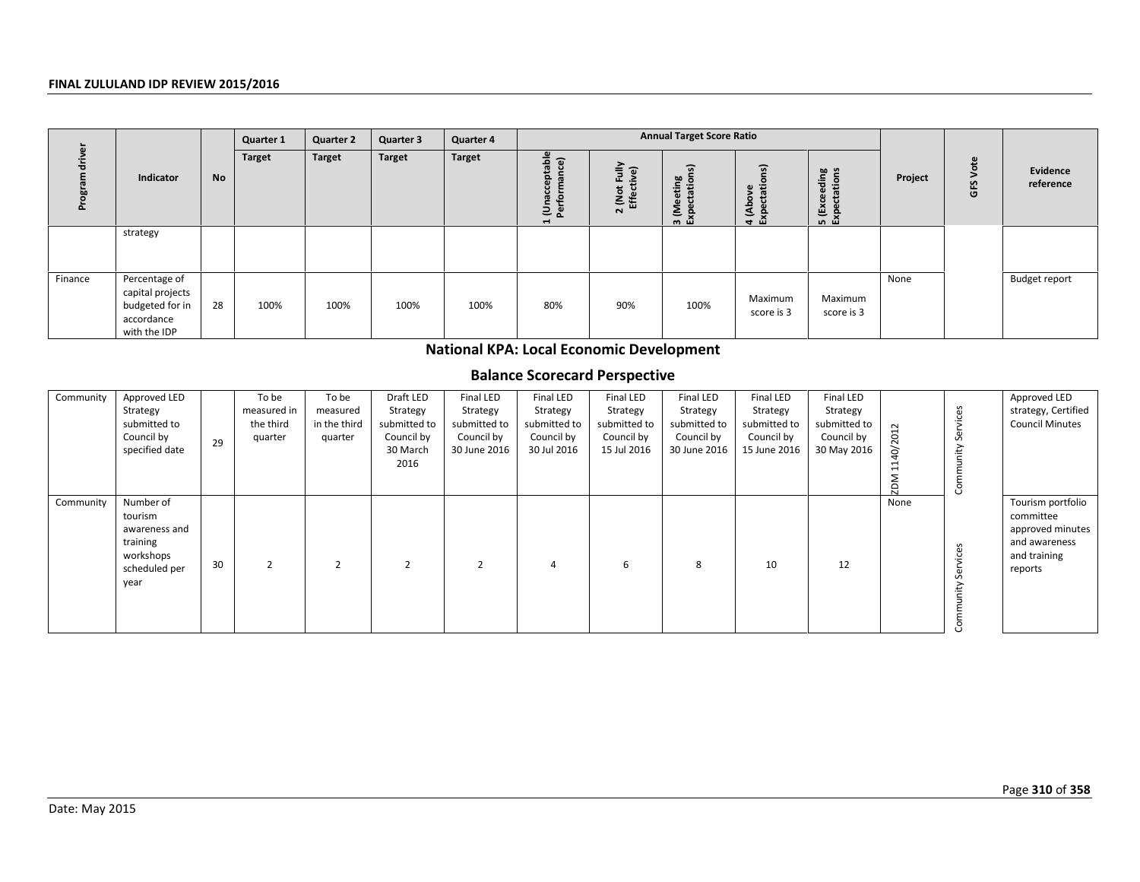|         |                                                                                    |           | Quarter 1     | <b>Quarter 2</b> | Quarter 3     | Quarter 4 |                                                                                           |                                            | <b>Annual Target Score Ratio</b>                                                 |                                  |                                                |         |                      |                       |
|---------|------------------------------------------------------------------------------------|-----------|---------------|------------------|---------------|-----------|-------------------------------------------------------------------------------------------|--------------------------------------------|----------------------------------------------------------------------------------|----------------------------------|------------------------------------------------|---------|----------------------|-----------------------|
|         | Indicator                                                                          | <b>No</b> | <b>Target</b> | <b>Target</b>    | <b>Target</b> | Target    | $\mathbf{\Omega}$<br>ಾ<br>ldst<br>mance<br>ō.<br>ပ<br>훋<br>Una<br>Perfo<br>$\blacksquare$ | Fully<br>୕ଢ଼<br>: (Not<br>Effect<br>$\sim$ | $\overline{a}$<br>ting<br>ation<br>$\mathbf{a}$<br><b>SE</b><br>$\Omega$<br>ത ഥി | ୍ଚ<br>÷<br>4 (Above<br>Expectati | tions<br>ding<br>$\omega$<br>(Exc<br>의 영<br>민준 | Project | $\omega$<br>Š<br>GFS | Evidence<br>reference |
|         | strategy                                                                           |           |               |                  |               |           |                                                                                           |                                            |                                                                                  |                                  |                                                |         |                      |                       |
| Finance | Percentage of<br>capital projects<br>budgeted for in<br>accordance<br>with the IDP | 28        | 100%          | 100%             | 100%          | 100%      | 80%                                                                                       | 90%                                        | 100%                                                                             | Maximum<br>score is 3            | Maximum<br>score is 3                          | None    |                      | Budget report         |

# **National KPA: Local Economic Development**

# **Balance Scorecard Perspective**

|                |                                                                                         |    | uunun 1                                      | uunun 2                                      | aan islam                                                               | aan istii 4                                                         |                                                                           |                                                                           |                                                                     |                                                                            |                                                                    |               |                    |                                                                                                |
|----------------|-----------------------------------------------------------------------------------------|----|----------------------------------------------|----------------------------------------------|-------------------------------------------------------------------------|---------------------------------------------------------------------|---------------------------------------------------------------------------|---------------------------------------------------------------------------|---------------------------------------------------------------------|----------------------------------------------------------------------------|--------------------------------------------------------------------|---------------|--------------------|------------------------------------------------------------------------------------------------|
| Program driver | Indicator                                                                               | No | Target                                       | <b>Target</b>                                | <b>Target</b>                                                           | <b>Target</b>                                                       | 1 (Unacceptable<br>Performance)<br>1                                      | 2 (Not Fully<br>Effective)                                                | 3 (Meeting<br>Expectations)                                         | 4 (Above<br>Expectations)                                                  | 5 (Exceeding<br>Expectations                                       | Project       | GFS Vote           | Evidence<br>reference                                                                          |
|                | strategy                                                                                |    |                                              |                                              |                                                                         |                                                                     |                                                                           |                                                                           |                                                                     |                                                                            |                                                                    |               |                    |                                                                                                |
| Finance        | Percentage of<br>capital projects<br>budgeted for in<br>accordance<br>with the IDP      | 28 | 100%                                         | 100%                                         | 100%                                                                    | 100%                                                                | 80%                                                                       | 90%                                                                       | 100%                                                                | Maximum<br>score is 3                                                      | Maximum<br>score is 3                                              | None          |                    | <b>Budget report</b>                                                                           |
|                |                                                                                         |    |                                              |                                              |                                                                         |                                                                     | <b>National KPA: Local Economic Development</b>                           |                                                                           |                                                                     |                                                                            |                                                                    |               |                    |                                                                                                |
|                |                                                                                         |    |                                              |                                              |                                                                         |                                                                     | <b>Balance Scorecard Perspective</b>                                      |                                                                           |                                                                     |                                                                            |                                                                    |               |                    |                                                                                                |
| Community      | Approved LED<br>Strategy<br>submitted to<br>Council by<br>specified date                | 29 | To be<br>measured in<br>the third<br>quarter | To be<br>measured<br>in the third<br>quarter | Draft LED<br>Strategy<br>submitted to<br>Council by<br>30 March<br>2016 | Final LED<br>Strategy<br>submitted to<br>Council by<br>30 June 2016 | <b>Final LED</b><br>Strategy<br>submitted to<br>Council by<br>30 Jul 2016 | <b>Final LED</b><br>Strategy<br>submitted to<br>Council by<br>15 Jul 2016 | Final LED<br>Strategy<br>submitted to<br>Council by<br>30 June 2016 | <b>Final LED</b><br>Strategy<br>submitted to<br>Council by<br>15 June 2016 | Final LED<br>Strategy<br>submitted to<br>Council by<br>30 May 2016 | ZDM 1140/2012 | Community Services | Approved LED<br>strategy, Certified<br><b>Council Minutes</b>                                  |
| Community      | Number of<br>tourism<br>awareness and<br>training<br>workshops<br>scheduled per<br>year | 30 | $\overline{2}$                               | $\overline{2}$                               | $\mathbf 2$                                                             | $\overline{2}$                                                      | $\overline{4}$                                                            | $\boldsymbol{6}$                                                          | 8                                                                   | 10                                                                         | 12                                                                 | None          | Community Services | Tourism portfolio<br>committee<br>approved minutes<br>and awareness<br>and training<br>reports |
| Date: May 2015 |                                                                                         |    |                                              |                                              |                                                                         |                                                                     |                                                                           |                                                                           |                                                                     |                                                                            |                                                                    |               |                    | Page 310 of 358                                                                                |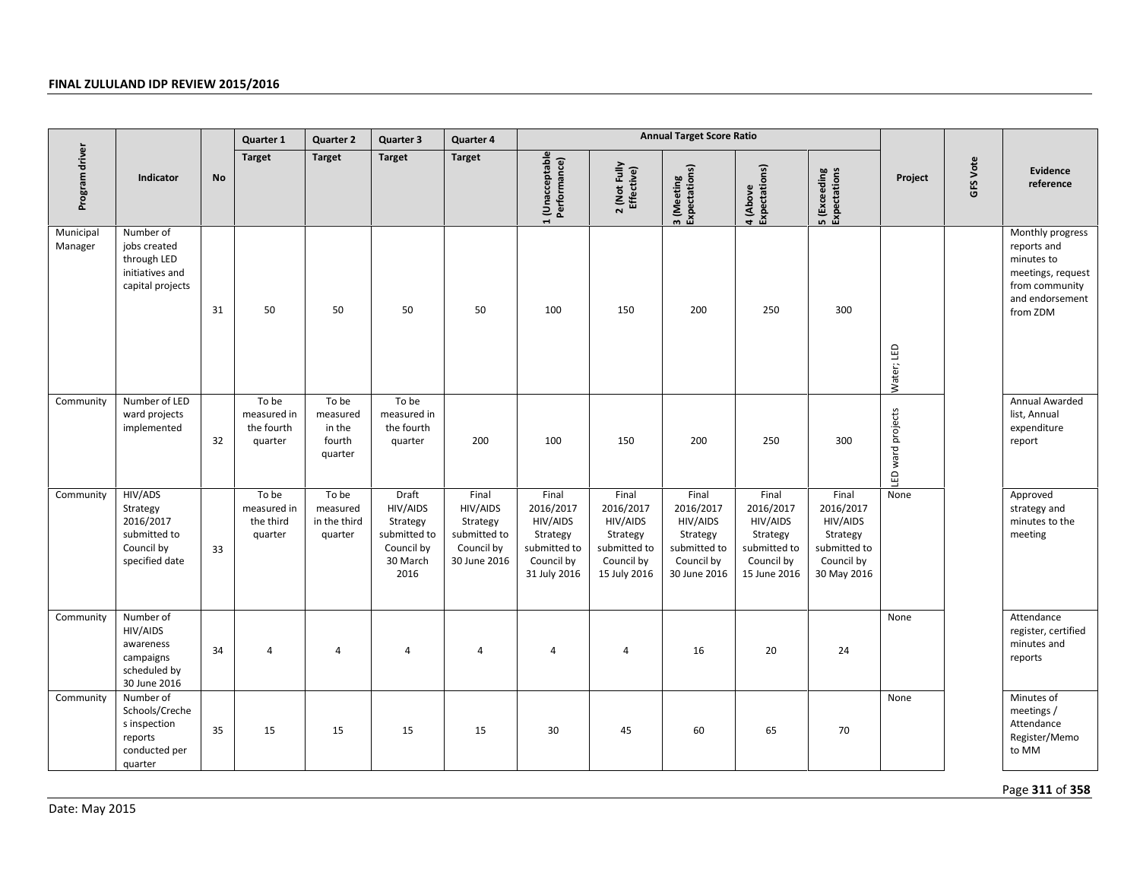|                      |                                                                                    |           | Quarter 1                                     | <b>Quarter 2</b>                                 | Quarter 3                                                                       | Quarter 4                                                                   |                                                                                          |                                                                                          | <b>Annual Target Score Ratio</b>                                                         |                                                                                          |                                                                                         |                   |          |                                                                                                                     |
|----------------------|------------------------------------------------------------------------------------|-----------|-----------------------------------------------|--------------------------------------------------|---------------------------------------------------------------------------------|-----------------------------------------------------------------------------|------------------------------------------------------------------------------------------|------------------------------------------------------------------------------------------|------------------------------------------------------------------------------------------|------------------------------------------------------------------------------------------|-----------------------------------------------------------------------------------------|-------------------|----------|---------------------------------------------------------------------------------------------------------------------|
| Program driver       | Indicator                                                                          | <b>No</b> | <b>Target</b>                                 | <b>Target</b>                                    | <b>Target</b>                                                                   | <b>Target</b>                                                               | 1 (Unacceptable<br>Performance)                                                          | 2 (Not Fully<br>Effective)                                                               | 3 (Meeting<br>Expectations)                                                              | 4 (Above<br>Expectations)                                                                | 5 (Exceeding<br>Expectations                                                            | Project           | GFS Vote | Evidence<br>reference                                                                                               |
| Municipal<br>Manager | Number of<br>jobs created<br>through LED<br>initiatives and<br>capital projects    | 31        | 50                                            | 50                                               | 50                                                                              | 50                                                                          | 100                                                                                      | 150                                                                                      | 200                                                                                      | 250                                                                                      | 300                                                                                     | Water; LED        |          | Monthly progress<br>reports and<br>minutes to<br>meetings, request<br>from community<br>and endorsement<br>from ZDM |
| Community            | Number of LED<br>ward projects<br>implemented                                      | 32        | To be<br>measured in<br>the fourth<br>quarter | To be<br>measured<br>in the<br>fourth<br>quarter | To be<br>measured in<br>the fourth<br>quarter                                   | 200                                                                         | 100                                                                                      | 150                                                                                      | 200                                                                                      | 250                                                                                      | 300                                                                                     | LED ward projects |          | Annual Awarded<br>list, Annual<br>expenditure<br>report                                                             |
| Community            | HIV/ADS<br>Strategy<br>2016/2017<br>submitted to<br>Council by<br>specified date   | 33        | To be<br>measured in<br>the third<br>quarter  | To be<br>measured<br>in the third<br>quarter     | Draft<br>HIV/AIDS<br>Strategy<br>submitted to<br>Council by<br>30 March<br>2016 | Final<br>HIV/AIDS<br>Strategy<br>submitted to<br>Council by<br>30 June 2016 | Final<br>2016/2017<br>HIV/AIDS<br>Strategy<br>submitted to<br>Council by<br>31 July 2016 | Final<br>2016/2017<br>HIV/AIDS<br>Strategy<br>submitted to<br>Council by<br>15 July 2016 | Final<br>2016/2017<br>HIV/AIDS<br>Strategy<br>submitted to<br>Council by<br>30 June 2016 | Final<br>2016/2017<br>HIV/AIDS<br>Strategy<br>submitted to<br>Council by<br>15 June 2016 | Final<br>2016/2017<br>HIV/AIDS<br>Strategy<br>submitted to<br>Council by<br>30 May 2016 | None              |          | Approved<br>strategy and<br>minutes to the<br>meeting                                                               |
| Community            | Number of<br>HIV/AIDS<br>awareness<br>campaigns<br>scheduled by<br>30 June 2016    | 34        | $\overline{4}$                                | 4                                                | 4                                                                               | $\overline{4}$                                                              | 4                                                                                        | 4                                                                                        | 16                                                                                       | 20                                                                                       | 24                                                                                      | None              |          | Attendance<br>register, certified<br>minutes and<br>reports                                                         |
| Community            | Number of<br>Schools/Creche<br>s inspection<br>reports<br>conducted per<br>quarter | 35        | 15                                            | 15                                               | 15                                                                              | 15                                                                          | 30                                                                                       | 45                                                                                       | 60                                                                                       | 65                                                                                       | 70                                                                                      | None              |          | Minutes of<br>meetings /<br>Attendance<br>Register/Memo<br>to MM                                                    |
| Date: May 2015       |                                                                                    |           |                                               |                                                  |                                                                                 |                                                                             |                                                                                          |                                                                                          |                                                                                          |                                                                                          |                                                                                         |                   |          | Page 311 of 358                                                                                                     |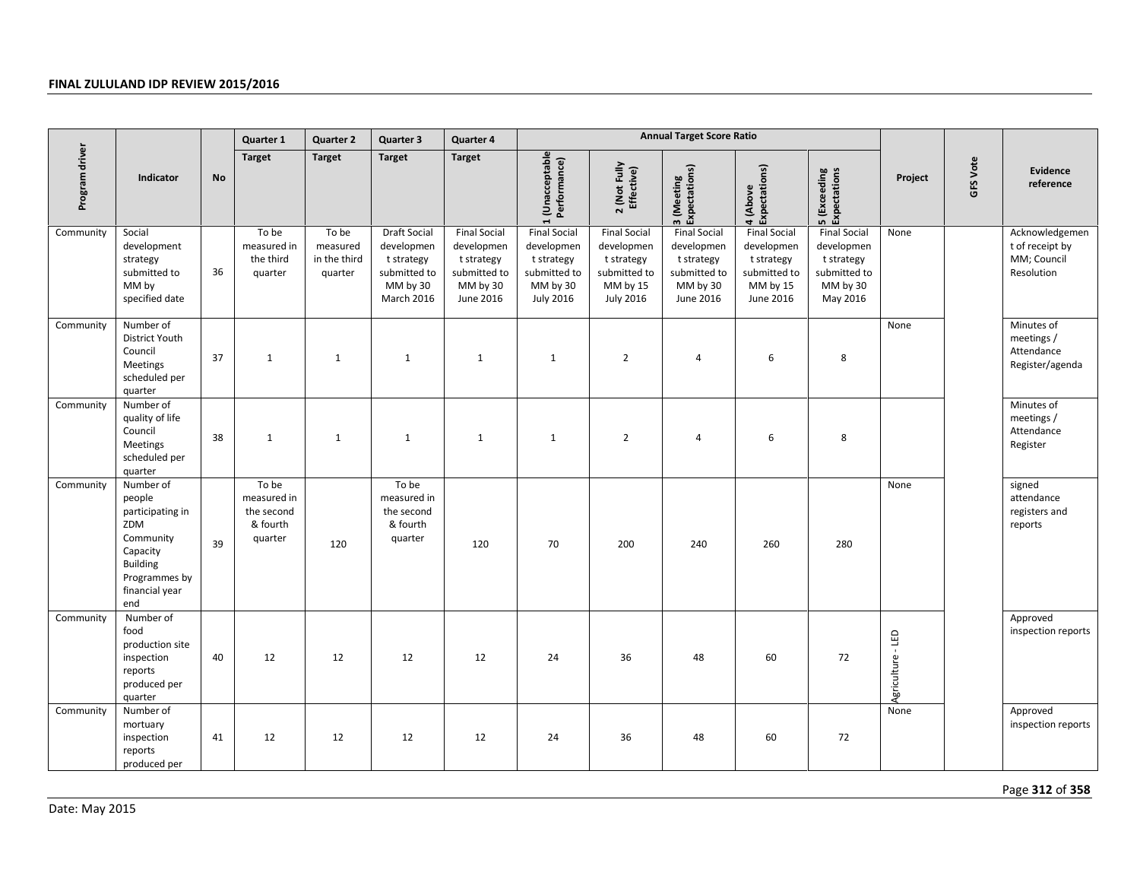|                |                                                                                                                                      |           | Quarter 1                                                 | <b>Quarter 2</b>                             | Quarter 3                                                                                        | Quarter 4                                                                                |                                                                                                 |                                                                                                 | <b>Annual Target Score Ratio</b>                                                         |                                                                                          |                                                                                         |                   |          |                                                                |
|----------------|--------------------------------------------------------------------------------------------------------------------------------------|-----------|-----------------------------------------------------------|----------------------------------------------|--------------------------------------------------------------------------------------------------|------------------------------------------------------------------------------------------|-------------------------------------------------------------------------------------------------|-------------------------------------------------------------------------------------------------|------------------------------------------------------------------------------------------|------------------------------------------------------------------------------------------|-----------------------------------------------------------------------------------------|-------------------|----------|----------------------------------------------------------------|
| Program driver | Indicator                                                                                                                            | <b>No</b> | <b>Target</b>                                             | <b>Target</b>                                | <b>Target</b>                                                                                    | <b>Target</b>                                                                            | 1 (Unacceptable<br>Performance)                                                                 | 2 (Not Fully<br>Effective)                                                                      | 3 (Meeting<br>Expectations)                                                              | Expectations)<br>4 (Above                                                                | <b>5</b> (Exceeding<br>Expectations                                                     | Project           | GFS Vote | Evidence<br>reference                                          |
| Community      | Social<br>development<br>strategy<br>submitted to<br>MM by<br>specified date                                                         | 36        | To be<br>measured in<br>the third<br>quarter              | To be<br>measured<br>in the third<br>quarter | <b>Draft Social</b><br>developmen<br>t strategy<br>submitted to<br>MM by 30<br><b>March 2016</b> | <b>Final Social</b><br>developmen<br>t strategy<br>submitted to<br>MM by 30<br>June 2016 | <b>Final Social</b><br>developmen<br>t strategy<br>submitted to<br>MM by 30<br><b>July 2016</b> | <b>Final Social</b><br>developmen<br>t strategy<br>submitted to<br>MM by 15<br><b>July 2016</b> | <b>Final Social</b><br>developmen<br>t strategy<br>submitted to<br>MM by 30<br>June 2016 | <b>Final Social</b><br>developmen<br>t strategy<br>submitted to<br>MM by 15<br>June 2016 | <b>Final Social</b><br>developmen<br>t strategy<br>submitted to<br>MM by 30<br>May 2016 | None              |          | Acknowledgemen<br>t of receipt by<br>MM; Council<br>Resolution |
| Community      | Number of<br>District Youth<br>Council<br><b>Meetings</b><br>scheduled per<br>quarter                                                | 37        | $\mathbf{1}$                                              | $\mathbf{1}$                                 | 1                                                                                                | $\mathbf{1}$                                                                             | $\mathbf{1}$                                                                                    | $\overline{2}$                                                                                  | $\overline{4}$                                                                           | 6                                                                                        | 8                                                                                       | None              |          | Minutes of<br>meetings /<br>Attendance<br>Register/agenda      |
| Community      | Number of<br>quality of life<br>Council<br>Meetings<br>scheduled per<br>quarter                                                      | 38        | $\mathbf{1}$                                              | $\mathbf{1}$                                 | 1                                                                                                | $\mathbf{1}$                                                                             | $\mathbf{1}$                                                                                    | $\overline{2}$                                                                                  | $\overline{4}$                                                                           | 6                                                                                        | 8                                                                                       |                   |          | Minutes of<br>meetings /<br>Attendance<br>Register             |
| Community      | Number of<br>people<br>participating in<br>ZDM<br>Community<br>Capacity<br><b>Building</b><br>Programmes by<br>financial year<br>end | 39        | To be<br>measured in<br>the second<br>& fourth<br>quarter | 120                                          | To be<br>measured in<br>the second<br>& fourth<br>quarter                                        | 120                                                                                      | 70                                                                                              | 200                                                                                             | 240                                                                                      | 260                                                                                      | 280                                                                                     | None              |          | signed<br>attendance<br>registers and<br>reports               |
| Community      | Number of<br>food<br>production site<br>inspection<br>reports<br>produced per<br>quarter                                             | 40        | 12                                                        | 12                                           | 12                                                                                               | 12                                                                                       | 24                                                                                              | 36                                                                                              | 48                                                                                       | 60                                                                                       | 72                                                                                      | Agriculture - LED |          | Approved<br>inspection reports                                 |
| Community      | Number of<br>mortuary<br>inspection<br>reports<br>produced per                                                                       | 41        | 12                                                        | 12                                           | 12                                                                                               | 12                                                                                       | 24                                                                                              | 36                                                                                              | 48                                                                                       | 60                                                                                       | 72                                                                                      | None              |          | Approved<br>inspection reports                                 |
| Date: May 2015 |                                                                                                                                      |           |                                                           |                                              |                                                                                                  |                                                                                          |                                                                                                 |                                                                                                 |                                                                                          |                                                                                          |                                                                                         |                   |          | Page 312 of 358                                                |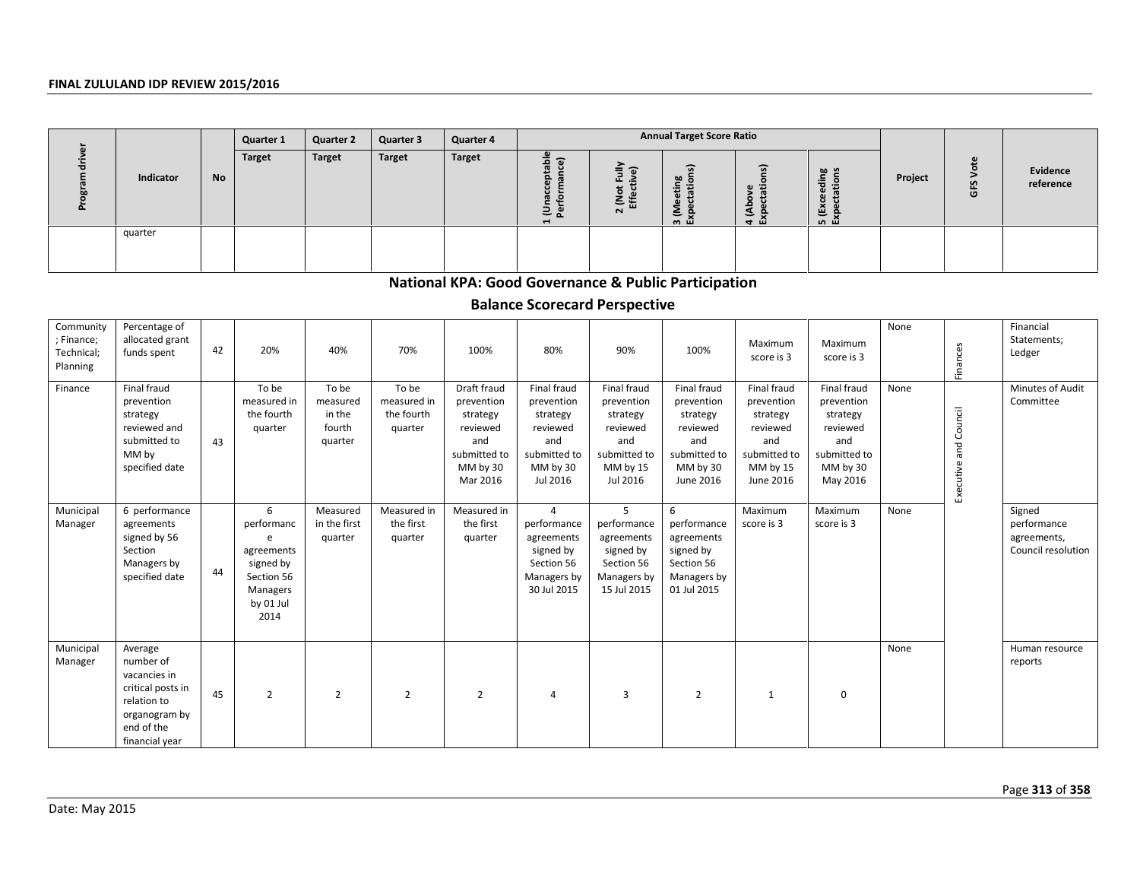|           |           | Quarter 1 | <b>Quarter 2</b> | Quarter 3     | Quarter 4     |                                                                                  |                            | <b>Annual Target Score Ratio</b>                                               |                                                                |                                                          |         |         |                       |
|-----------|-----------|-----------|------------------|---------------|---------------|----------------------------------------------------------------------------------|----------------------------|--------------------------------------------------------------------------------|----------------------------------------------------------------|----------------------------------------------------------|---------|---------|-----------------------|
| Indicator | <b>No</b> | Target    | <b>Target</b>    | <b>Target</b> | <b>Target</b> | $\mathbf{a}$<br>ء<br>$\mathbf{a}$<br>ā<br>с<br>$\omega$<br>= ∝<br>$\blacksquare$ | ≡<br>ш<br>٤<br>面<br>$\sim$ | $\overline{a}$<br>60<br>÷<br>ω<br>2<br>$\overline{\phantom{0}}$<br><u>ത யி</u> | $\widehat{\cdot}$<br>ω<br>œ<br>$\circ$<br>ᅀ<br>ड<br>e.<br>ச மி | യ ച<br>$\frac{1}{6}$<br>a<br>G)<br>ē<br>鱼<br><u>மெய்</u> | Project | ٣Ĵ<br>O | Evidence<br>reference |
| quarter   |           |           |                  |               |               |                                                                                  |                            |                                                                                |                                                                |                                                          |         |         |                       |
|           |           |           |                  |               |               |                                                                                  |                            |                                                                                |                                                                |                                                          |         |         |                       |

# **National KPA: Good Governance & Public Participation**

# **Balance Scorecard Perspective**

|                                                   |                                                                                                                           |    | Quartor +                                                                                      | Quarter 4                                        | aan isti                                      | uuu uu +                                                                                         |                                                                                                         |                                                                                                       |                                                                                                   |                                                                                                   |                                                                                                  |         |                       |                                                            |
|---------------------------------------------------|---------------------------------------------------------------------------------------------------------------------------|----|------------------------------------------------------------------------------------------------|--------------------------------------------------|-----------------------------------------------|--------------------------------------------------------------------------------------------------|---------------------------------------------------------------------------------------------------------|-------------------------------------------------------------------------------------------------------|---------------------------------------------------------------------------------------------------|---------------------------------------------------------------------------------------------------|--------------------------------------------------------------------------------------------------|---------|-----------------------|------------------------------------------------------------|
| Program driver                                    | Indicator                                                                                                                 | No | <b>Target</b>                                                                                  | <b>Target</b>                                    | <b>Target</b>                                 | <b>Target</b>                                                                                    | 1 (Unacceptable<br>Performance)                                                                         | 2 (Not Fully<br>Effective)                                                                            | 3 (Meeting<br>Expectations)                                                                       | 4 (Above<br>Expectations)                                                                         | <b>5</b> (Exceeding<br>Expectations                                                              | Project | GFS Vote              | <b>Evidence</b><br>reference                               |
|                                                   | quarter                                                                                                                   |    |                                                                                                |                                                  |                                               |                                                                                                  |                                                                                                         |                                                                                                       |                                                                                                   |                                                                                                   |                                                                                                  |         |                       |                                                            |
|                                                   |                                                                                                                           |    |                                                                                                |                                                  |                                               |                                                                                                  | <b>National KPA: Good Governance &amp; Public Participation</b><br><b>Balance Scorecard Perspective</b> |                                                                                                       |                                                                                                   |                                                                                                   |                                                                                                  |         |                       |                                                            |
| Community<br>; Finance;<br>Technical;<br>Planning | Percentage of<br>allocated grant<br>funds spent                                                                           | 42 | 20%                                                                                            | 40%                                              | 70%                                           | 100%                                                                                             | 80%                                                                                                     | 90%                                                                                                   | 100%                                                                                              | Maximum<br>score is 3                                                                             | Maximum<br>score is 3                                                                            | None    | Finances              | Financial<br>Statements;<br>Ledger                         |
| Finance                                           | Final fraud<br>prevention<br>strategy<br>reviewed and<br>submitted to<br>MM by<br>specified date                          | 43 | To be<br>measured in<br>the fourth<br>quarter                                                  | To be<br>measured<br>in the<br>fourth<br>quarter | To be<br>measured in<br>the fourth<br>quarter | Draft fraud<br>prevention<br>strategy<br>reviewed<br>and<br>submitted to<br>MM by 30<br>Mar 2016 | Final fraud<br>prevention<br>strategy<br>reviewed<br>and<br>submitted to<br>MM by 30<br>Jul 2016        | Final fraud<br>prevention<br>strategy<br>reviewed<br>and<br>submitted to<br>MM by 15<br>Jul 2016      | Final fraud<br>prevention<br>strategy<br>reviewed<br>and<br>submitted to<br>MM by 30<br>June 2016 | Final fraud<br>prevention<br>strategy<br>reviewed<br>and<br>submitted to<br>MM by 15<br>June 2016 | Final fraud<br>prevention<br>strategy<br>reviewed<br>and<br>submitted to<br>MM by 30<br>May 2016 | None    | Executive and Council | Minutes of Audit<br>Committee                              |
| Municipal<br>Manager                              | 6 performance<br>agreements<br>signed by 56<br>Section<br>Managers by<br>specified date                                   | 44 | 6<br>performanc<br>e<br>agreements<br>signed by<br>Section 56<br>Managers<br>by 01 Jul<br>2014 | Measured<br>in the first<br>quarter              | Measured in<br>the first<br>quarter           | Measured in<br>the first<br>quarter                                                              | $\overline{4}$<br>performance<br>agreements<br>signed by<br>Section 56<br>Managers by<br>30 Jul 2015    | $5\overline{5}$<br>performance<br>agreements<br>signed by<br>Section 56<br>Managers by<br>15 Jul 2015 | 6<br>performance<br>agreements<br>signed by<br>Section 56<br>Managers by<br>01 Jul 2015           | Maximum<br>score is 3                                                                             | Maximum<br>score is 3                                                                            | None    |                       | Signed<br>performance<br>agreements,<br>Council resolution |
| Municipal<br>Manager                              | Average<br>number of<br>vacancies in<br>critical posts in<br>relation to<br>organogram by<br>end of the<br>financial year | 45 | $\overline{2}$                                                                                 | $\overline{2}$                                   | $\overline{2}$                                | $\overline{2}$                                                                                   | $\overline{4}$                                                                                          | 3                                                                                                     | $\overline{2}$                                                                                    | $\mathbf{1}$                                                                                      | $\mathbf 0$                                                                                      | None    |                       | Human resource<br>reports                                  |
| Date: May 2015                                    |                                                                                                                           |    |                                                                                                |                                                  |                                               |                                                                                                  |                                                                                                         |                                                                                                       |                                                                                                   |                                                                                                   |                                                                                                  |         |                       | Page 313 of 358                                            |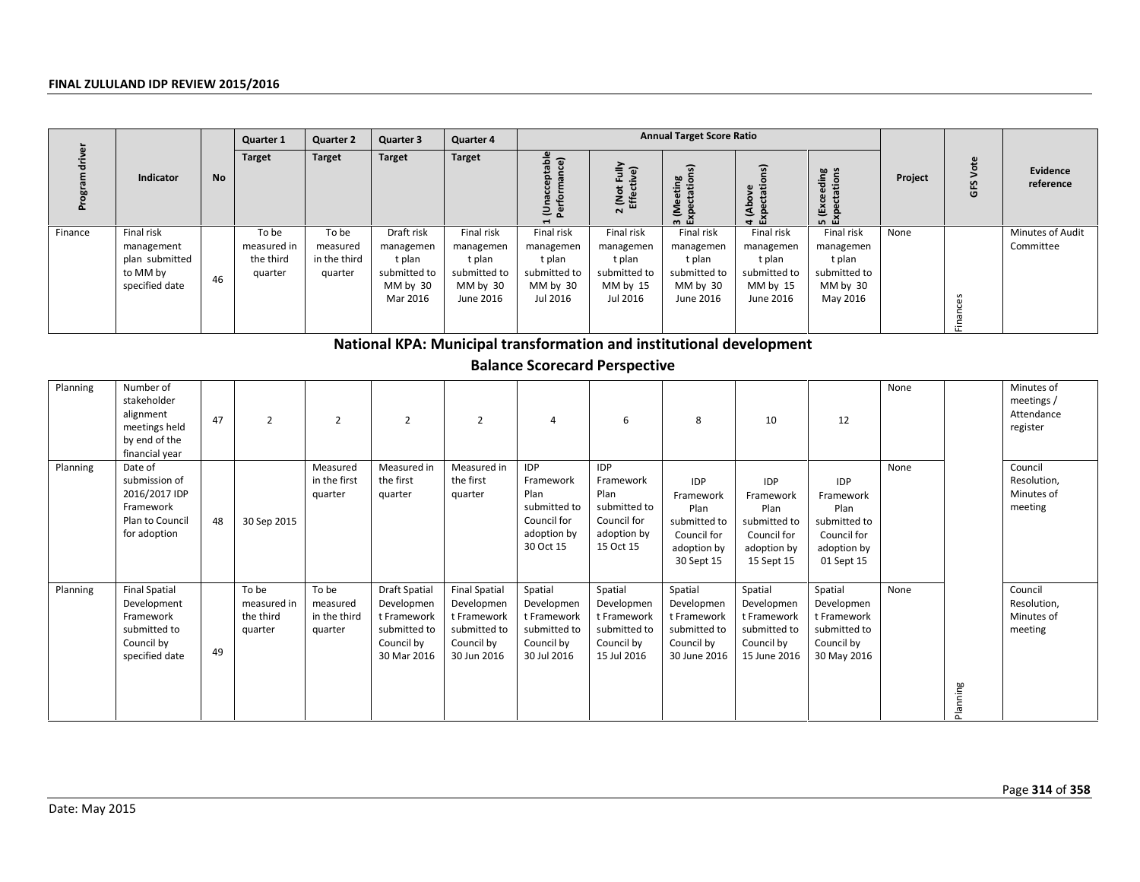|         |                                                                          |    | Quarter 1                                    | <b>Quarter 2</b>                             | <b>Quarter 3</b>                                                          | Quarter 4                                                                  | <b>Annual Target Score Ratio</b>                                          |                                                                           |                                                                            |                                                                            |                                                                           |         |             |                               |
|---------|--------------------------------------------------------------------------|----|----------------------------------------------|----------------------------------------------|---------------------------------------------------------------------------|----------------------------------------------------------------------------|---------------------------------------------------------------------------|---------------------------------------------------------------------------|----------------------------------------------------------------------------|----------------------------------------------------------------------------|---------------------------------------------------------------------------|---------|-------------|-------------------------------|
|         | <b>Indicator</b>                                                         | No | <b>Target</b>                                | <b>Target</b>                                | <b>Target</b>                                                             | Target                                                                     | able<br>ance)<br>ှု<br>호 호                                                | $\frac{2}{3}$<br>ื้อ<br>Not<br>Effect<br>$\mathbf{N}$                     | ) 열<br>Έ<br>Ž<br>$\overline{\phantom{0}}$<br><u> ത</u> ധി                  | $\overline{a}$<br>Φ<br>£.<br>Š<br>ت<br>दु<br>۽<br>- LL L                   | ding<br>tions<br>⊕<br>≅<br>ம் ய                                           | Project | Vote<br>GFS | Evidence<br>reference         |
| Finance | Final risk<br>management<br>plan submitted<br>to MM by<br>specified date | 46 | To be<br>measured in<br>the third<br>quarter | To be<br>measured<br>in the third<br>quarter | Draft risk<br>managemen<br>t plan<br>submitted to<br>MM by 30<br>Mar 2016 | Final risk<br>managemen<br>t plan<br>submitted to<br>MM by 30<br>June 2016 | Final risk<br>managemen<br>t plan<br>submitted to<br>MM by 30<br>Jul 2016 | Final risk<br>managemen<br>t plan<br>submitted to<br>MM by 15<br>Jul 2016 | Final risk<br>managemen<br>t plan<br>submitted to<br>MM by 30<br>June 2016 | Final risk<br>managemen<br>t plan<br>submitted to<br>MM by 15<br>June 2016 | Final risk<br>managemen<br>t plan<br>submitted to<br>MM by 30<br>May 2016 | None    |             | Minutes of Audit<br>Committee |
|         |                                                                          |    |                                              |                                              |                                                                           |                                                                            |                                                                           |                                                                           |                                                                            |                                                                            |                                                                           |         |             |                               |

|                |                                                                                                  |    | Quartor +                                    | uunun 2                                      | uun uun u                                                                                      | uurici –                                                                                       |                                                                                            |                                                                                            |                                                                                             |                                                                                             |                                                                                             |         |          |                                                    |
|----------------|--------------------------------------------------------------------------------------------------|----|----------------------------------------------|----------------------------------------------|------------------------------------------------------------------------------------------------|------------------------------------------------------------------------------------------------|--------------------------------------------------------------------------------------------|--------------------------------------------------------------------------------------------|---------------------------------------------------------------------------------------------|---------------------------------------------------------------------------------------------|---------------------------------------------------------------------------------------------|---------|----------|----------------------------------------------------|
| Program driver | Indicator                                                                                        | No | <b>Target</b>                                | <b>Target</b>                                | <b>Target</b>                                                                                  | <b>Target</b>                                                                                  | 1 (Unacceptable<br>Performance)                                                            | 2 (Not Fully<br>Effective)                                                                 | 3 (Meeting<br>Expectations)                                                                 | 4 (Above<br>Expectations)                                                                   | 5 (Exceeding<br>Expectations                                                                | Project | GFS Vote | <b>Evidence</b><br>reference                       |
| Finance        | Final risk<br>management<br>plan submitted<br>to MM by<br>specified date                         | 46 | To be<br>measured in<br>the third<br>quarter | To be<br>measured<br>in the third<br>quarter | Draft risk<br>managemen<br>t plan<br>submitted to<br>MM by 30<br>Mar 2016                      | Final risk<br>managemen<br>t plan<br>submitted to<br>MM by 30<br>June 2016                     | Final risk<br>managemen<br>t plan<br>submitted to<br>MM by 30<br>Jul 2016                  | Final risk<br>managemen<br>t plan<br>submitted to<br>MM by 15<br>Jul 2016                  | Final risk<br>managemen<br>t plan<br>submitted to<br>MM by 30<br>June 2016                  | Final risk<br>managemen<br>t plan<br>submitted to<br>MM by 15<br>June 2016                  | Final risk<br>managemen<br>t plan<br>submitted to<br>MM by 30<br>May 2016                   | None    | Finances | Minutes of Audit<br>Committee                      |
|                |                                                                                                  |    |                                              |                                              | National KPA: Municipal transformation and institutional development                           |                                                                                                |                                                                                            |                                                                                            |                                                                                             |                                                                                             |                                                                                             |         |          |                                                    |
|                |                                                                                                  |    |                                              |                                              |                                                                                                |                                                                                                | <b>Balance Scorecard Perspective</b>                                                       |                                                                                            |                                                                                             |                                                                                             |                                                                                             |         |          |                                                    |
| Planning       | Number of<br>stakeholder<br>alignment<br>meetings held<br>by end of the<br>financial year        | 47 | $\overline{2}$                               | $\overline{2}$                               | $\overline{2}$                                                                                 | $\overline{2}$                                                                                 | 4                                                                                          | 6                                                                                          | 8                                                                                           | 10                                                                                          | 12                                                                                          | None    |          | Minutes of<br>meetings /<br>Attendance<br>register |
| Planning       | Date of<br>submission of<br>2016/2017 IDP<br>Framework<br>Plan to Council<br>for adoption        | 48 | 30 Sep 2015                                  | Measured<br>in the first<br>quarter          | Measured in<br>the first<br>quarter                                                            | Measured in<br>the first<br>quarter                                                            | <b>IDP</b><br>Framework<br>Plan<br>submitted to<br>Council for<br>adoption by<br>30 Oct 15 | <b>IDP</b><br>Framework<br>Plan<br>submitted to<br>Council for<br>adoption by<br>15 Oct 15 | <b>IDP</b><br>Framework<br>Plan<br>submitted to<br>Council for<br>adoption by<br>30 Sept 15 | <b>IDP</b><br>Framework<br>Plan<br>submitted to<br>Council for<br>adoption by<br>15 Sept 15 | <b>IDP</b><br>Framework<br>Plan<br>submitted to<br>Council for<br>adoption by<br>01 Sept 15 | None    |          | Council<br>Resolution,<br>Minutes of<br>meeting    |
| Planning       | <b>Final Spatial</b><br>Development<br>Framework<br>submitted to<br>Council by<br>specified date | 49 | To be<br>measured in<br>the third<br>quarter | To be<br>measured<br>in the third<br>quarter | <b>Draft Spatial</b><br>Developmen<br>t Framework<br>submitted to<br>Council by<br>30 Mar 2016 | <b>Final Spatial</b><br>Developmen<br>t Framework<br>submitted to<br>Council by<br>30 Jun 2016 | Spatial<br>Developmen<br>t Framework<br>submitted to<br>Council by<br>30 Jul 2016          | Spatial<br>Developmen<br>t Framework<br>submitted to<br>Council by<br>15 Jul 2016          | Spatial<br>Developmen<br>t Framework<br>submitted to<br>Council by<br>30 June 2016          | Spatial<br>Developmen<br>t Framework<br>submitted to<br>Council by<br>15 June 2016          | Spatial<br>Developmen<br>t Framework<br>submitted to<br>Council by<br>30 May 2016           | None    |          | Council<br>Resolution,<br>Minutes of<br>meeting    |
|                |                                                                                                  |    |                                              |                                              |                                                                                                |                                                                                                |                                                                                            |                                                                                            |                                                                                             |                                                                                             |                                                                                             |         | Planning |                                                    |
| Date: May 2015 |                                                                                                  |    |                                              |                                              |                                                                                                |                                                                                                |                                                                                            |                                                                                            |                                                                                             |                                                                                             |                                                                                             |         |          | Page 314 of 358                                    |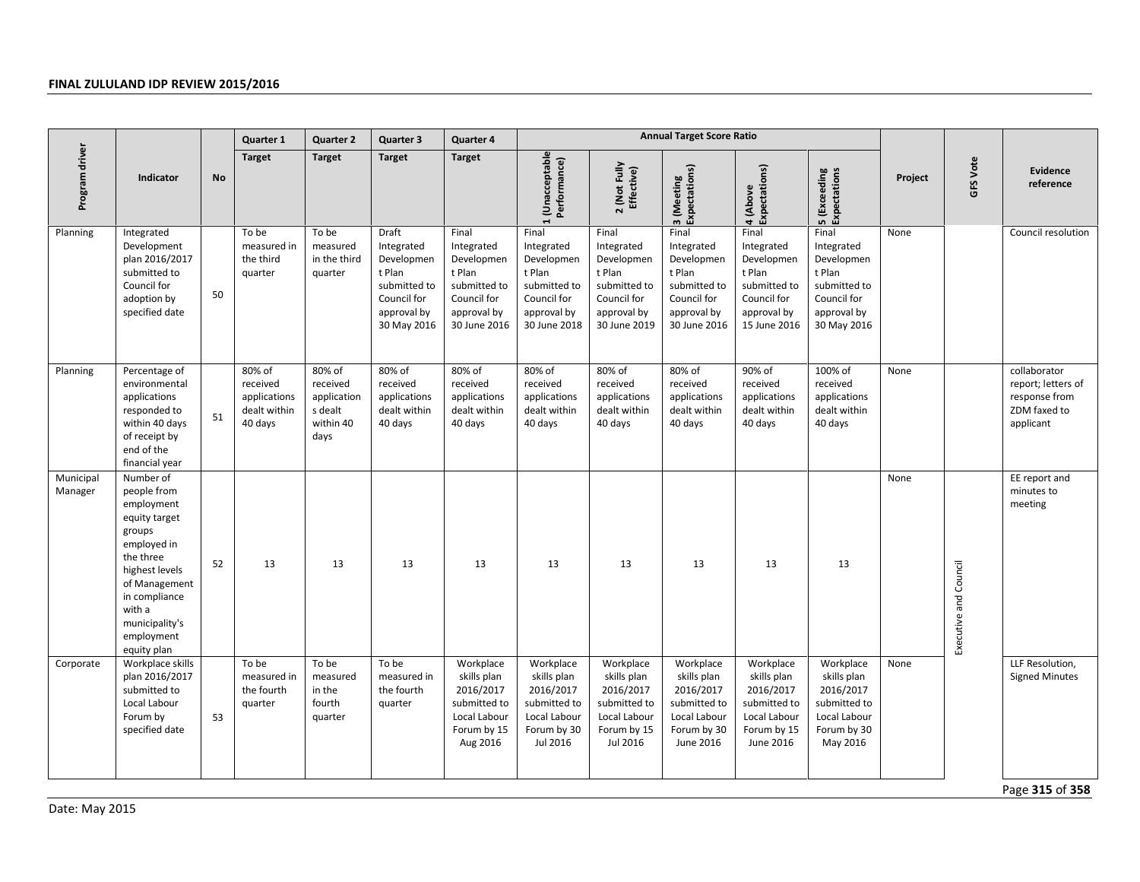|                      |                                                                                                                                                                                                            |           | Quarter 1                                                     | <b>Quarter 2</b>                                                  | Quarter 3                                                                                                | Quarter 4                                                                                                 | <b>Annual Target Score Ratio</b>                                                                          |                                                                                                           |                                                                                                           |                                                                                                           |                                                                                                          |         |                       |                                                                                  |
|----------------------|------------------------------------------------------------------------------------------------------------------------------------------------------------------------------------------------------------|-----------|---------------------------------------------------------------|-------------------------------------------------------------------|----------------------------------------------------------------------------------------------------------|-----------------------------------------------------------------------------------------------------------|-----------------------------------------------------------------------------------------------------------|-----------------------------------------------------------------------------------------------------------|-----------------------------------------------------------------------------------------------------------|-----------------------------------------------------------------------------------------------------------|----------------------------------------------------------------------------------------------------------|---------|-----------------------|----------------------------------------------------------------------------------|
| Program driver       | Indicator                                                                                                                                                                                                  | <b>No</b> | <b>Target</b>                                                 | <b>Target</b>                                                     | <b>Target</b>                                                                                            | <b>Target</b>                                                                                             | Unacceptable<br>Performance)                                                                              | 2 (Not Fully<br>Effective)                                                                                | 3 (Meeting<br>Expectations)                                                                               | 4 (Above<br>Expectations)                                                                                 | 5 (Exceeding<br>Expectations                                                                             | Project | GFS Vote              | <b>Evidence</b><br>reference                                                     |
| Planning             | Integrated<br>Development<br>plan 2016/2017<br>submitted to<br>Council for<br>adoption by<br>specified date                                                                                                | 50        | To be<br>measured in<br>the third<br>quarter                  | To be<br>measured<br>in the third<br>quarter                      | Draft<br>Integrated<br>Developmen<br>t Plan<br>submitted to<br>Council for<br>approval by<br>30 May 2016 | Final<br>Integrated<br>Developmen<br>t Plan<br>submitted to<br>Council for<br>approval by<br>30 June 2016 | Final<br>Integrated<br>Developmen<br>t Plan<br>submitted to<br>Council for<br>approval by<br>30 June 2018 | Final<br>Integrated<br>Developmen<br>t Plan<br>submitted to<br>Council for<br>approval by<br>30 June 2019 | Final<br>Integrated<br>Developmen<br>t Plan<br>submitted to<br>Council for<br>approval by<br>30 June 2016 | Final<br>Integrated<br>Developmen<br>t Plan<br>submitted to<br>Council for<br>approval by<br>15 June 2016 | Final<br>Integrated<br>Developmen<br>t Plan<br>submitted to<br>Council for<br>approval by<br>30 May 2016 | None    |                       | Council resolution                                                               |
| Planning             | Percentage of<br>environmental<br>applications<br>responded to<br>within 40 days<br>of receipt by<br>end of the<br>financial year                                                                          | 51        | 80% of<br>received<br>applications<br>dealt within<br>40 days | 80% of<br>received<br>application<br>s dealt<br>within 40<br>days | 80% of<br>received<br>applications<br>dealt within<br>40 days                                            | 80% of<br>received<br>applications<br>dealt within<br>40 days                                             | 80% of<br>received<br>applications<br>dealt within<br>40 days                                             | 80% of<br>received<br>applications<br>dealt within<br>40 days                                             | 80% of<br>received<br>applications<br>dealt within<br>40 days                                             | 90% of<br>received<br>applications<br>dealt within<br>40 days                                             | 100% of<br>received<br>applications<br>dealt within<br>40 days                                           | None    |                       | collaborator<br>report; letters of<br>response from<br>ZDM faxed to<br>applicant |
| Municipal<br>Manager | Number of<br>people from<br>employment<br>equity target<br>groups<br>employed in<br>the three<br>highest levels<br>of Management<br>in compliance<br>with a<br>municipality's<br>employment<br>equity plan | 52        | 13                                                            | 13                                                                | 13                                                                                                       | 13                                                                                                        | 13                                                                                                        | 13                                                                                                        | 13                                                                                                        | 13                                                                                                        | 13                                                                                                       | None    | Executive and Council | EE report and<br>minutes to<br>meeting                                           |
| Corporate            | Workplace skills<br>plan 2016/2017<br>submitted to<br>Local Labour<br>Forum by<br>specified date                                                                                                           | 53        | To be<br>measured in<br>the fourth<br>quarter                 | To be<br>measured<br>in the<br>fourth<br>quarter                  | To be<br>measured in<br>the fourth<br>quarter                                                            | Workplace<br>skills plan<br>2016/2017<br>submitted to<br>Local Labour<br>Forum by 15<br>Aug 2016          | Workplace<br>skills plan<br>2016/2017<br>submitted to<br>Local Labour<br>Forum by 30<br>Jul 2016          | Workplace<br>skills plan<br>2016/2017<br>submitted to<br>Local Labour<br>Forum by 15<br>Jul 2016          | Workplace<br>skills plan<br>2016/2017<br>submitted to<br>Local Labour<br>Forum by 30<br>June 2016         | Workplace<br>skills plan<br>2016/2017<br>submitted to<br>Local Labour<br>Forum by 15<br>June 2016         | Workplace<br>skills plan<br>2016/2017<br>submitted to<br>Local Labour<br>Forum by 30<br>May 2016         | None    |                       | LLF Resolution,<br><b>Signed Minutes</b>                                         |
|                      |                                                                                                                                                                                                            |           |                                                               |                                                                   |                                                                                                          |                                                                                                           |                                                                                                           |                                                                                                           |                                                                                                           |                                                                                                           |                                                                                                          |         |                       | Page 315 of 358                                                                  |
| Date: May 2015       |                                                                                                                                                                                                            |           |                                                               |                                                                   |                                                                                                          |                                                                                                           |                                                                                                           |                                                                                                           |                                                                                                           |                                                                                                           |                                                                                                          |         |                       |                                                                                  |